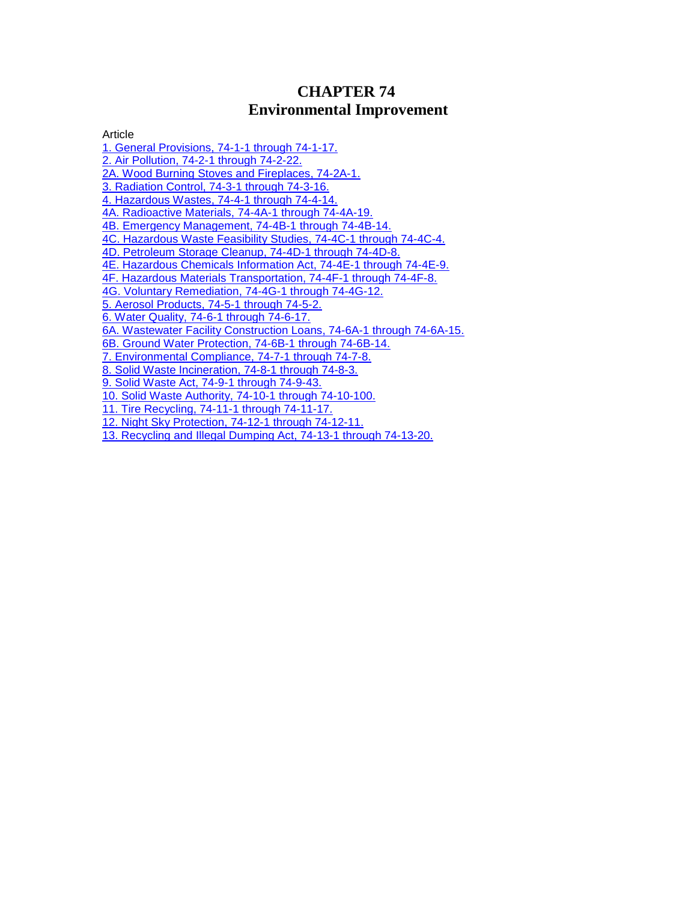# **CHAPTER 74 Environmental Improvement**

Article

[1. General Provisions, 74-1-1 through 74-1-17.](http://public.nmcompcomm.us/nmpublic/gateway.dll?f=jumplink$jumplink_x=Advanced$jumplink_vpc=first$jumplink_xsl=querylink.xsl$jumplink_sel=title;path;content-type;home-title;item-bookmark$jumplink_d=%7bnmsu%7d$jumplink_q=%5bfield%20folio-destination-name:%27ch.%2074%2C%20art.%201%27%5d$jumplink_md=target-id=0-0-0-72697) [2. Air Pollution, 74-2-1 through 74-2-22.](http://public.nmcompcomm.us/nmpublic/gateway.dll?f=jumplink$jumplink_x=Advanced$jumplink_vpc=first$jumplink_xsl=querylink.xsl$jumplink_sel=title;path;content-type;home-title;item-bookmark$jumplink_d=%7bnmsu%7d$jumplink_q=%5bfield%20folio-destination-name:%27Ch.%2074%2C%20Art.%202%27%5d$jumplink_md=target-id=0-0-0-121619) [2A. Wood Burning Stoves and Fireplaces, 74-2A-1.](http://public.nmcompcomm.us/nmpublic/gateway.dll?f=jumplink$jumplink_x=Advanced$jumplink_vpc=first$jumplink_xsl=querylink.xsl$jumplink_sel=title;path;content-type;home-title;item-bookmark$jumplink_d=%7bnmsu%7d$jumplink_q=%5bfield%20folio-destination-name:%27Ch.%2074%2C%20Art.%202A%27%5d$jumplink_md=target-id=0-0-0-121621) [3. Radiation Control, 74-3-1 through 74-3-16.](http://public.nmcompcomm.us/nmpublic/gateway.dll?f=jumplink$jumplink_x=Advanced$jumplink_vpc=first$jumplink_xsl=querylink.xsl$jumplink_sel=title;path;content-type;home-title;item-bookmark$jumplink_d=%7bnmsu%7d$jumplink_q=%5bfield%20folio-destination-name:%27Ch.%2074%2C%20Art.%203%27%5d$jumplink_md=target-id=0-0-0-121623) [4. Hazardous Wastes, 74-4-1 through 74-4-14.](http://public.nmcompcomm.us/nmpublic/gateway.dll?f=jumplink$jumplink_x=Advanced$jumplink_vpc=first$jumplink_xsl=querylink.xsl$jumplink_sel=title;path;content-type;home-title;item-bookmark$jumplink_d=%7bnmsu%7d$jumplink_q=%5bfield%20folio-destination-name:%27ch.%2074%2C%20art.%204%27%5d$jumplink_md=target-id=0-0-0-11009) [4A. Radioactive Materials, 74-4A-1 through 74-4A-19.](http://public.nmcompcomm.us/nmpublic/gateway.dll?f=jumplink$jumplink_x=Advanced$jumplink_vpc=first$jumplink_xsl=querylink.xsl$jumplink_sel=title;path;content-type;home-title;item-bookmark$jumplink_d=%7bnmsu%7d$jumplink_q=%5bfield%20folio-destination-name:%27Ch.%2074%2C%20Art.%204A%27%5d$jumplink_md=target-id=0-0-0-121625) [4B. Emergency Management, 74-4B-1 through 74-4B-14.](http://public.nmcompcomm.us/nmpublic/gateway.dll?f=jumplink$jumplink_x=Advanced$jumplink_vpc=first$jumplink_xsl=querylink.xsl$jumplink_sel=title;path;content-type;home-title;item-bookmark$jumplink_d=%7bnmsu%7d$jumplink_q=%5bfield%20folio-destination-name:%27Ch.%2074%2C%20Art.%204B%27%5d$jumplink_md=target-id=0-0-0-121627) [4C. Hazardous Waste Feasibility Studies, 74-4C-1 through 74-4C-4.](http://public.nmcompcomm.us/nmpublic/gateway.dll?f=jumplink$jumplink_x=Advanced$jumplink_vpc=first$jumplink_xsl=querylink.xsl$jumplink_sel=title;path;content-type;home-title;item-bookmark$jumplink_d=%7bnmsu%7d$jumplink_q=%5bfield%20folio-destination-name:%27Ch.%2074%2C%20Art.%204C%27%5d$jumplink_md=target-id=0-0-0-121629) [4D. Petroleum Storage Cleanup, 74-4D-1 through 74-4D-8.](http://public.nmcompcomm.us/nmpublic/gateway.dll?f=jumplink$jumplink_x=Advanced$jumplink_vpc=first$jumplink_xsl=querylink.xsl$jumplink_sel=title;path;content-type;home-title;item-bookmark$jumplink_d=%7bnmsu%7d$jumplink_q=%5bfield%20folio-destination-name:%27Ch.%2074%2C%20Art.%204D%27%5d$jumplink_md=target-id=0-0-0-121631) [4E. Hazardous Chemicals Information Act, 74-4E-1 through 74-4E-9.](http://public.nmcompcomm.us/nmpublic/gateway.dll?f=jumplink$jumplink_x=Advanced$jumplink_vpc=first$jumplink_xsl=querylink.xsl$jumplink_sel=title;path;content-type;home-title;item-bookmark$jumplink_d=%7bnmsu%7d$jumplink_q=%5bfield%20folio-destination-name:%27Ch.%2074%2C%20Art.%204E%27%5d$jumplink_md=target-id=0-0-0-121633) [4F. Hazardous Materials Transportation, 74-4F-1 through 74-4F-8.](http://public.nmcompcomm.us/nmpublic/gateway.dll?f=jumplink$jumplink_x=Advanced$jumplink_vpc=first$jumplink_xsl=querylink.xsl$jumplink_sel=title;path;content-type;home-title;item-bookmark$jumplink_d=%7bnmsu%7d$jumplink_q=%5bfield%20folio-destination-name:%27Ch.%2074%2C%20Art.%204F%27%5d$jumplink_md=target-id=0-0-0-121635) [4G. Voluntary Remediation, 74-4G-1 through 74-4G-12.](http://public.nmcompcomm.us/nmpublic/gateway.dll?f=jumplink$jumplink_x=Advanced$jumplink_vpc=first$jumplink_xsl=querylink.xsl$jumplink_sel=title;path;content-type;home-title;item-bookmark$jumplink_d=%7bnmsu%7d$jumplink_q=%5bfield%20folio-destination-name:%27ch.%2074%2C%20art.%204g%27%5d$jumplink_md=target-id=0-0-0-36215) [5. Aerosol Products, 74-5-1 through 74-5-2.](http://public.nmcompcomm.us/nmpublic/gateway.dll?f=jumplink$jumplink_x=Advanced$jumplink_vpc=first$jumplink_xsl=querylink.xsl$jumplink_sel=title;path;content-type;home-title;item-bookmark$jumplink_d=%7bnmsu%7d$jumplink_q=%5bfield%20folio-destination-name:%27Ch.%2074%2C%20Art.%205%27%5d$jumplink_md=target-id=0-0-0-121637) [6. Water Quality, 74-6-1 through 74-6-17.](http://public.nmcompcomm.us/nmpublic/gateway.dll?f=jumplink$jumplink_x=Advanced$jumplink_vpc=first$jumplink_xsl=querylink.xsl$jumplink_sel=title;path;content-type;home-title;item-bookmark$jumplink_d=%7bnmsu%7d$jumplink_q=%5bfield%20folio-destination-name:%27ch.%2074%2C%20art.%206%27%5d$jumplink_md=target-id=0-0-0-20189) [6A. Wastewater Facility Construction Loans, 74-6A-1 through 74-6A-15.](http://public.nmcompcomm.us/nmpublic/gateway.dll?f=jumplink$jumplink_x=Advanced$jumplink_vpc=first$jumplink_xsl=querylink.xsl$jumplink_sel=title;path;content-type;home-title;item-bookmark$jumplink_d=%7bnmsu%7d$jumplink_q=%5bfield%20folio-destination-name:%27ch.%2074%2C%20art.%206a%27%5d$jumplink_md=target-id=0-0-0-16227) [6B. Ground Water Protection, 74-6B-1 through 74-6B-14.](http://public.nmcompcomm.us/nmpublic/gateway.dll?f=jumplink$jumplink_x=Advanced$jumplink_vpc=first$jumplink_xsl=querylink.xsl$jumplink_sel=title;path;content-type;home-title;item-bookmark$jumplink_d=%7bnmsu%7d$jumplink_q=%5bfield%20folio-destination-name:%27Ch.%2074%2C%20Art.%206B%27%5d$jumplink_md=target-id=0-0-0-121639) [7. Environmental Compliance, 74-7-1 through 74-7-8.](http://public.nmcompcomm.us/nmpublic/gateway.dll?f=jumplink$jumplink_x=Advanced$jumplink_vpc=first$jumplink_xsl=querylink.xsl$jumplink_sel=title;path;content-type;home-title;item-bookmark$jumplink_d=%7bnmsu%7d$jumplink_q=%5bfield%20folio-destination-name:%27Ch.%2074%2C%20Art.%207%27%5d$jumplink_md=target-id=0-0-0-121641) [8. Solid Waste Incineration, 74-8-1 through 74-8-3.](http://public.nmcompcomm.us/nmpublic/gateway.dll?f=jumplink$jumplink_x=Advanced$jumplink_vpc=first$jumplink_xsl=querylink.xsl$jumplink_sel=title;path;content-type;home-title;item-bookmark$jumplink_d=%7bnmsu%7d$jumplink_q=%5bfield%20folio-destination-name:%27Ch.%2074%2C%20Art.%208%27%5d$jumplink_md=target-id=0-0-0-121643) [9. Solid Waste Act, 74-9-1 through 74-9-43.](http://public.nmcompcomm.us/nmpublic/gateway.dll?f=jumplink$jumplink_x=Advanced$jumplink_vpc=first$jumplink_xsl=querylink.xsl$jumplink_sel=title;path;content-type;home-title;item-bookmark$jumplink_d=%7bnmsu%7d$jumplink_q=%5bfield%20folio-destination-name:%27ch.%2074%2C%20art.%209%27%5d$jumplink_md=target-id=0-0-0-16257) [10. Solid Waste Authority, 74-10-1 through 74-10-100.](http://public.nmcompcomm.us/nmpublic/gateway.dll?f=jumplink$jumplink_x=Advanced$jumplink_vpc=first$jumplink_xsl=querylink.xsl$jumplink_sel=title;path;content-type;home-title;item-bookmark$jumplink_d=%7bnmsu%7d$jumplink_q=%5bfield%20folio-destination-name:%27Ch.%2074%2C%20Art.%2010%27%5d$jumplink_md=target-id=0-0-0-121645) [11. Tire Recycling, 74-11-1 through 74-11-17.](http://public.nmcompcomm.us/nmpublic/gateway.dll?f=jumplink$jumplink_x=Advanced$jumplink_vpc=first$jumplink_xsl=querylink.xsl$jumplink_sel=title;path;content-type;home-title;item-bookmark$jumplink_d=%7bnmsu%7d$jumplink_q=%5bfield%20folio-destination-name:%27Ch.%2074%2C%20Art.%2011%27%5d$jumplink_md=target-id=0-0-0-121647) [12. Night Sky Protection, 74-12-1 through 74-12-11.](http://public.nmcompcomm.us/nmpublic/gateway.dll?f=jumplink$jumplink_x=Advanced$jumplink_vpc=first$jumplink_xsl=querylink.xsl$jumplink_sel=title;path;content-type;home-title;item-bookmark$jumplink_d=%7bnmsu%7d$jumplink_q=%5bfield%20folio-destination-name:%27Ch.%2074%2C%20Art.%2012%27%5d$jumplink_md=target-id=0-0-0-121649) [13. Recycling and Illegal Dumping Act, 74-13-1 through 74-13-20.](http://public.nmcompcomm.us/nmpublic/gateway.dll?f=jumplink$jumplink_x=Advanced$jumplink_vpc=first$jumplink_xsl=querylink.xsl$jumplink_sel=title;path;content-type;home-title;item-bookmark$jumplink_d=%7bnmsu%7d$jumplink_q=%5bfield%20folio-destination-name:%27Ch.%2074%2C%20Art.%2013%27%5d$jumplink_md=target-id=0-0-0-121651)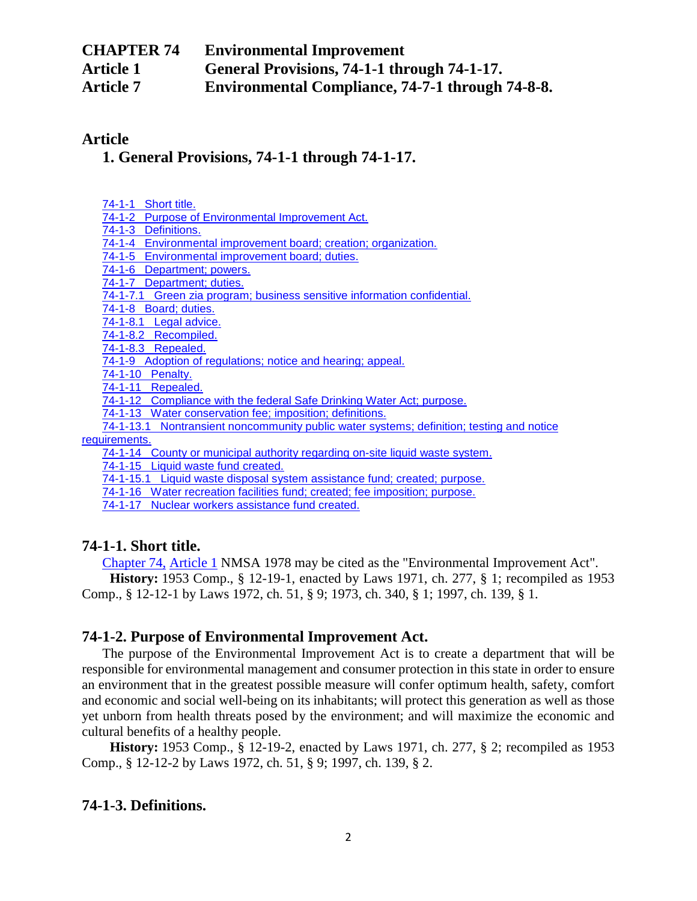| <b>CHAPTER 74</b> | <b>Environmental Improvement</b>                        |
|-------------------|---------------------------------------------------------|
| <b>Article 1</b>  | General Provisions, 74-1-1 through 74-1-17.             |
| <b>Article 7</b>  | <b>Environmental Compliance, 74-7-1 through 74-8-8.</b> |

## **Article**

## **[1. General Provisions, 74-1-1 through 74-1-17.](http://public.nmcompcomm.us/nmpublic/gateway.dll?f=jumplink$jumplink_x=Advanced$jumplink_vpc=first$jumplink_xsl=querylink.xsl$jumplink_sel=title;path;content-type;home-title;item-bookmark$jumplink_d=%7bnmsu%7d$jumplink_q=%5bfield%20folio-destination-name:%27ch.%2074%2C%20art.%201%27%5d$jumplink_md=target-id=0-0-0-72697)**

|--|

[74-1-2 Purpose of Environmental Improvement Act.](http://public.nmcompcomm.us/nmpublic/gateway.dll?f=jumplink$jumplink_x=Advanced$jumplink_vpc=first$jumplink_xsl=querylink.xsl$jumplink_sel=title;path;content-type;home-title;item-bookmark$jumplink_d=%7bnmsu%7d$jumplink_q=%5bfield%20folio-destination-name:%2774-1-2%27%5d$jumplink_md=target-id=0-0-0-121655)

[74-1-3 Definitions.](http://public.nmcompcomm.us/nmpublic/gateway.dll?f=jumplink$jumplink_x=Advanced$jumplink_vpc=first$jumplink_xsl=querylink.xsl$jumplink_sel=title;path;content-type;home-title;item-bookmark$jumplink_d=%7bnmsu%7d$jumplink_q=%5bfield%20folio-destination-name:%2774-1-3%27%5d$jumplink_md=target-id=0-0-0-121657)

[74-1-4 Environmental improvement board; creation; organization.](http://public.nmcompcomm.us/nmpublic/gateway.dll?f=jumplink$jumplink_x=Advanced$jumplink_vpc=first$jumplink_xsl=querylink.xsl$jumplink_sel=title;path;content-type;home-title;item-bookmark$jumplink_d=%7bnmsu%7d$jumplink_q=%5bfield%20folio-destination-name:%2774-1-4%27%5d$jumplink_md=target-id=0-0-0-121659)

[74-1-5 Environmental improvement board; duties.](http://public.nmcompcomm.us/nmpublic/gateway.dll?f=jumplink$jumplink_x=Advanced$jumplink_vpc=first$jumplink_xsl=querylink.xsl$jumplink_sel=title;path;content-type;home-title;item-bookmark$jumplink_d=%7bnmsu%7d$jumplink_q=%5bfield%20folio-destination-name:%2774-1-5%27%5d$jumplink_md=target-id=0-0-0-121661)

[74-1-6 Department; powers.](http://public.nmcompcomm.us/nmpublic/gateway.dll?f=jumplink$jumplink_x=Advanced$jumplink_vpc=first$jumplink_xsl=querylink.xsl$jumplink_sel=title;path;content-type;home-title;item-bookmark$jumplink_d=%7bnmsu%7d$jumplink_q=%5bfield%20folio-destination-name:%2774-1-6%27%5d$jumplink_md=target-id=0-0-0-121663)

[74-1-7 Department; duties.](http://public.nmcompcomm.us/nmpublic/gateway.dll?f=jumplink$jumplink_x=Advanced$jumplink_vpc=first$jumplink_xsl=querylink.xsl$jumplink_sel=title;path;content-type;home-title;item-bookmark$jumplink_d=%7bnmsu%7d$jumplink_q=%5bfield%20folio-destination-name:%2774-1-7%27%5d$jumplink_md=target-id=0-0-0-104937)

[74-1-7.1 Green zia program; business sensitive information confidential.](http://public.nmcompcomm.us/nmpublic/gateway.dll?f=jumplink$jumplink_x=Advanced$jumplink_vpc=first$jumplink_xsl=querylink.xsl$jumplink_sel=title;path;content-type;home-title;item-bookmark$jumplink_d=%7bnmsu%7d$jumplink_q=%5bfield%20folio-destination-name:%2774-1-7.1%27%5d$jumplink_md=target-id=0-0-0-121665)

[74-1-8 Board; duties.](http://public.nmcompcomm.us/nmpublic/gateway.dll?f=jumplink$jumplink_x=Advanced$jumplink_vpc=first$jumplink_xsl=querylink.xsl$jumplink_sel=title;path;content-type;home-title;item-bookmark$jumplink_d=%7bnmsu%7d$jumplink_q=%5bfield%20folio-destination-name:%2774-1-8%27%5d$jumplink_md=target-id=0-0-0-104591)

[74-1-8.1 Legal advice.](http://public.nmcompcomm.us/nmpublic/gateway.dll?f=jumplink$jumplink_x=Advanced$jumplink_vpc=first$jumplink_xsl=querylink.xsl$jumplink_sel=title;path;content-type;home-title;item-bookmark$jumplink_d=%7bnmsu%7d$jumplink_q=%5bfield%20folio-destination-name:%2774-1-8.1%27%5d$jumplink_md=target-id=0-0-0-121667)

[74-1-8.2 Recompiled.](http://public.nmcompcomm.us/nmpublic/gateway.dll?f=jumplink$jumplink_x=Advanced$jumplink_vpc=first$jumplink_xsl=querylink.xsl$jumplink_sel=title;path;content-type;home-title;item-bookmark$jumplink_d=%7bnmsu%7d$jumplink_q=%5bfield%20folio-destination-name:%2774-1-8.2%27%5d$jumplink_md=target-id=0-0-0-121669)

[74-1-8.3 Repealed.](http://public.nmcompcomm.us/nmpublic/gateway.dll?f=jumplink$jumplink_x=Advanced$jumplink_vpc=first$jumplink_xsl=querylink.xsl$jumplink_sel=title;path;content-type;home-title;item-bookmark$jumplink_d=%7bnmsu%7d$jumplink_q=%5bfield%20folio-destination-name:%2774-1-8.3%27%5d$jumplink_md=target-id=0-0-0-121671)

[74-1-9 Adoption of regulations; notice and hearing; appeal.](http://public.nmcompcomm.us/nmpublic/gateway.dll?f=jumplink$jumplink_x=Advanced$jumplink_vpc=first$jumplink_xsl=querylink.xsl$jumplink_sel=title;path;content-type;home-title;item-bookmark$jumplink_d=%7bnmsu%7d$jumplink_q=%5bfield%20folio-destination-name:%2774-1-9%27%5d$jumplink_md=target-id=0-0-0-49061)

[74-1-10 Penalty.](http://public.nmcompcomm.us/nmpublic/gateway.dll?f=jumplink$jumplink_x=Advanced$jumplink_vpc=first$jumplink_xsl=querylink.xsl$jumplink_sel=title;path;content-type;home-title;item-bookmark$jumplink_d=%7bnmsu%7d$jumplink_q=%5bfield%20folio-destination-name:%2774-1-10%27%5d$jumplink_md=target-id=0-0-0-121673)

[74-1-11 Repealed.](http://public.nmcompcomm.us/nmpublic/gateway.dll?f=jumplink$jumplink_x=Advanced$jumplink_vpc=first$jumplink_xsl=querylink.xsl$jumplink_sel=title;path;content-type;home-title;item-bookmark$jumplink_d=%7bnmsu%7d$jumplink_q=%5bfield%20folio-destination-name:%2774-1-11%27%5d$jumplink_md=target-id=0-0-0-121675)

[74-1-12 Compliance with the federal Safe Drinking Water Act; purpose.](http://public.nmcompcomm.us/nmpublic/gateway.dll?f=jumplink$jumplink_x=Advanced$jumplink_vpc=first$jumplink_xsl=querylink.xsl$jumplink_sel=title;path;content-type;home-title;item-bookmark$jumplink_d=%7bnmsu%7d$jumplink_q=%5bfield%20folio-destination-name:%2774-1-12%27%5d$jumplink_md=target-id=0-0-0-121677)

[74-1-13 Water conservation fee; imposition; definitions.](http://public.nmcompcomm.us/nmpublic/gateway.dll?f=jumplink$jumplink_x=Advanced$jumplink_vpc=first$jumplink_xsl=querylink.xsl$jumplink_sel=title;path;content-type;home-title;item-bookmark$jumplink_d=%7bnmsu%7d$jumplink_q=%5bfield%20folio-destination-name:%2774-1-13%27%5d$jumplink_md=target-id=0-0-0-17653)

[74-1-13.1 Nontransient noncommunity public water systems; definition; testing and notice](http://public.nmcompcomm.us/nmpublic/gateway.dll?f=jumplink$jumplink_x=Advanced$jumplink_vpc=first$jumplink_xsl=querylink.xsl$jumplink_sel=title;path;content-type;home-title;item-bookmark$jumplink_d=%7bnmsu%7d$jumplink_q=%5bfield%20folio-destination-name:%2774-1-13.1%27%5d$jumplink_md=target-id=0-0-0-121679)  [requirements.](http://public.nmcompcomm.us/nmpublic/gateway.dll?f=jumplink$jumplink_x=Advanced$jumplink_vpc=first$jumplink_xsl=querylink.xsl$jumplink_sel=title;path;content-type;home-title;item-bookmark$jumplink_d=%7bnmsu%7d$jumplink_q=%5bfield%20folio-destination-name:%2774-1-13.1%27%5d$jumplink_md=target-id=0-0-0-121679)

[74-1-14 County or municipal authority regarding on-site liquid waste system.](http://public.nmcompcomm.us/nmpublic/gateway.dll?f=jumplink$jumplink_x=Advanced$jumplink_vpc=first$jumplink_xsl=querylink.xsl$jumplink_sel=title;path;content-type;home-title;item-bookmark$jumplink_d=%7bnmsu%7d$jumplink_q=%5bfield%20folio-destination-name:%2774-1-14%27%5d$jumplink_md=target-id=0-0-0-121681)

[74-1-15 Liquid waste fund created.](http://public.nmcompcomm.us/nmpublic/gateway.dll?f=jumplink$jumplink_x=Advanced$jumplink_vpc=first$jumplink_xsl=querylink.xsl$jumplink_sel=title;path;content-type;home-title;item-bookmark$jumplink_d=%7bnmsu%7d$jumplink_q=%5bfield%20folio-destination-name:%2774-1-15%27%5d$jumplink_md=target-id=0-0-0-121683)

[74-1-15.1 Liquid waste disposal system assistance fund; created; purpose.](http://public.nmcompcomm.us/nmpublic/gateway.dll?f=jumplink$jumplink_x=Advanced$jumplink_vpc=first$jumplink_xsl=querylink.xsl$jumplink_sel=title;path;content-type;home-title;item-bookmark$jumplink_d=%7bnmsu%7d$jumplink_q=%5bfield%20folio-destination-name:%2774-1-15.1%27%5d$jumplink_md=target-id=0-0-0-121685)

[74-1-16 Water recreation facilities fund; created; fee imposition; purpose.](http://public.nmcompcomm.us/nmpublic/gateway.dll?f=jumplink$jumplink_x=Advanced$jumplink_vpc=first$jumplink_xsl=querylink.xsl$jumplink_sel=title;path;content-type;home-title;item-bookmark$jumplink_d=%7bnmsu%7d$jumplink_q=%5bfield%20folio-destination-name:%2774-1-16%27%5d$jumplink_md=target-id=0-0-0-121687)

[74-1-17 Nuclear workers assistance fund created.](http://public.nmcompcomm.us/nmpublic/gateway.dll?f=jumplink$jumplink_x=Advanced$jumplink_vpc=first$jumplink_xsl=querylink.xsl$jumplink_sel=title;path;content-type;home-title;item-bookmark$jumplink_d=%7bnmsu%7d$jumplink_q=%5bfield%20folio-destination-name:%2774-1-17%27%5d$jumplink_md=target-id=0-0-0-121689)

### **74-1-1. Short title.**

[Chapter 74,](http://public.nmcompcomm.us/nmpublic/gateway.dll?f=jumplink$jumplink_x=Advanced$jumplink_vpc=first$jumplink_xsl=querylink.xsl$jumplink_sel=title;path;content-type;home-title;item-bookmark$jumplink_d=%7bnmsu%7d$jumplink_q=%5bfield%20folio-destination-name:%27ch.%2074%27%5d$jumplink_md=target-id=0-0-0-1877) [Article 1](http://public.nmcompcomm.us/nmpublic/gateway.dll?f=jumplink$jumplink_x=Advanced$jumplink_vpc=first$jumplink_xsl=querylink.xsl$jumplink_sel=title;path;content-type;home-title;item-bookmark$jumplink_d=%7bnmsu%7d$jumplink_q=%5bfield%20folio-destination-name:%27ch.%2074%2C%20art.%201%27%5d$jumplink_md=target-id=0-0-0-72697) NMSA 1978 may be cited as the "Environmental Improvement Act". **History:** 1953 Comp., § 12-19-1, enacted by Laws 1971, ch. 277, § 1; recompiled as 1953 Comp., § 12-12-1 by Laws 1972, ch. 51, § 9; 1973, ch. 340, § 1; 1997, ch. 139, § 1.

### **74-1-2. Purpose of Environmental Improvement Act.**

The purpose of the Environmental Improvement Act is to create a department that will be responsible for environmental management and consumer protection in this state in order to ensure an environment that in the greatest possible measure will confer optimum health, safety, comfort and economic and social well-being on its inhabitants; will protect this generation as well as those yet unborn from health threats posed by the environment; and will maximize the economic and cultural benefits of a healthy people.

**History:** 1953 Comp., § 12-19-2, enacted by Laws 1971, ch. 277, § 2; recompiled as 1953 Comp., § 12-12-2 by Laws 1972, ch. 51, § 9; 1997, ch. 139, § 2.

## **74-1-3. Definitions.**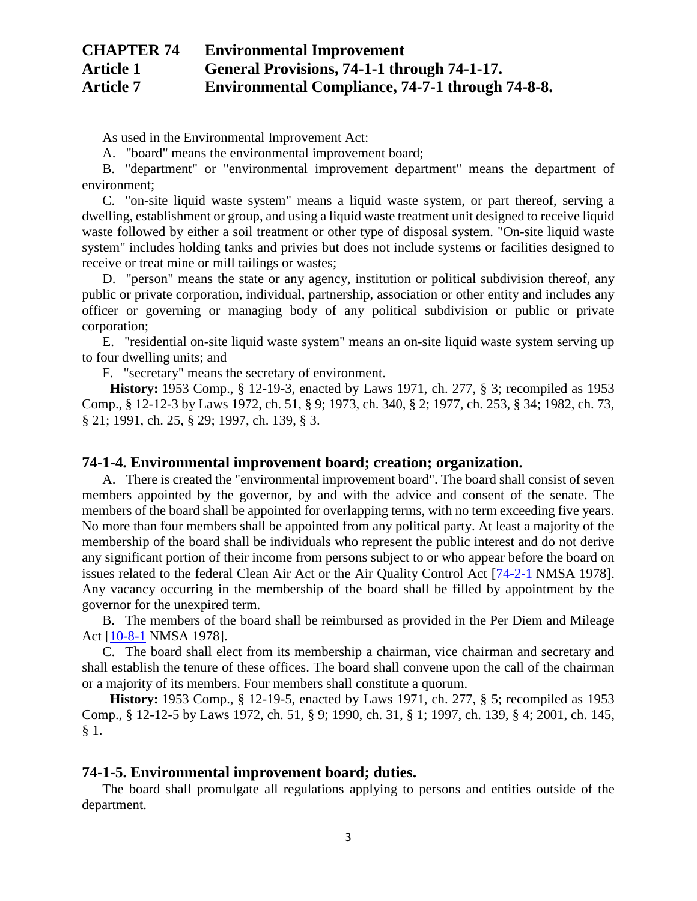As used in the Environmental Improvement Act:

A. "board" means the environmental improvement board;

B. "department" or "environmental improvement department" means the department of environment;

C. "on-site liquid waste system" means a liquid waste system, or part thereof, serving a dwelling, establishment or group, and using a liquid waste treatment unit designed to receive liquid waste followed by either a soil treatment or other type of disposal system. "On-site liquid waste system" includes holding tanks and privies but does not include systems or facilities designed to receive or treat mine or mill tailings or wastes;

D. "person" means the state or any agency, institution or political subdivision thereof, any public or private corporation, individual, partnership, association or other entity and includes any officer or governing or managing body of any political subdivision or public or private corporation;

E. "residential on-site liquid waste system" means an on-site liquid waste system serving up to four dwelling units; and

F. "secretary" means the secretary of environment.

**History:** 1953 Comp., § 12-19-3, enacted by Laws 1971, ch. 277, § 3; recompiled as 1953 Comp., § 12-12-3 by Laws 1972, ch. 51, § 9; 1973, ch. 340, § 2; 1977, ch. 253, § 34; 1982, ch. 73, § 21; 1991, ch. 25, § 29; 1997, ch. 139, § 3.

#### **74-1-4. Environmental improvement board; creation; organization.**

A. There is created the "environmental improvement board". The board shall consist of seven members appointed by the governor, by and with the advice and consent of the senate. The members of the board shall be appointed for overlapping terms, with no term exceeding five years. No more than four members shall be appointed from any political party. At least a majority of the membership of the board shall be individuals who represent the public interest and do not derive any significant portion of their income from persons subject to or who appear before the board on issues related to the federal Clean Air Act or the Air Quality Control Act [\[74-2-1](http://public.nmcompcomm.us/nmpublic/gateway.dll?f=jumplink$jumplink_x=Advanced$jumplink_vpc=first$jumplink_xsl=querylink.xsl$jumplink_sel=title;path;content-type;home-title;item-bookmark$jumplink_d=%7bnmsu%7d$jumplink_q=%5bfield%20folio-destination-name:%2774-2-1%27%5d$jumplink_md=target-id=0-0-0-24695) NMSA 1978]. Any vacancy occurring in the membership of the board shall be filled by appointment by the governor for the unexpired term.

B. The members of the board shall be reimbursed as provided in the Per Diem and Mileage Act [\[10-8-1](http://public.nmcompcomm.us/nmpublic/gateway.dll?f=jumplink$jumplink_x=Advanced$jumplink_vpc=first$jumplink_xsl=querylink.xsl$jumplink_sel=title;path;content-type;home-title;item-bookmark$jumplink_d=%7bnmsu%7d$jumplink_q=%5bfield%20folio-destination-name:%2710-8-1%27%5d$jumplink_md=target-id=0-0-0-2241) NMSA 1978].

C. The board shall elect from its membership a chairman, vice chairman and secretary and shall establish the tenure of these offices. The board shall convene upon the call of the chairman or a majority of its members. Four members shall constitute a quorum.

**History:** 1953 Comp., § 12-19-5, enacted by Laws 1971, ch. 277, § 5; recompiled as 1953 Comp., § 12-12-5 by Laws 1972, ch. 51, § 9; 1990, ch. 31, § 1; 1997, ch. 139, § 4; 2001, ch. 145, § 1.

#### **74-1-5. Environmental improvement board; duties.**

The board shall promulgate all regulations applying to persons and entities outside of the department.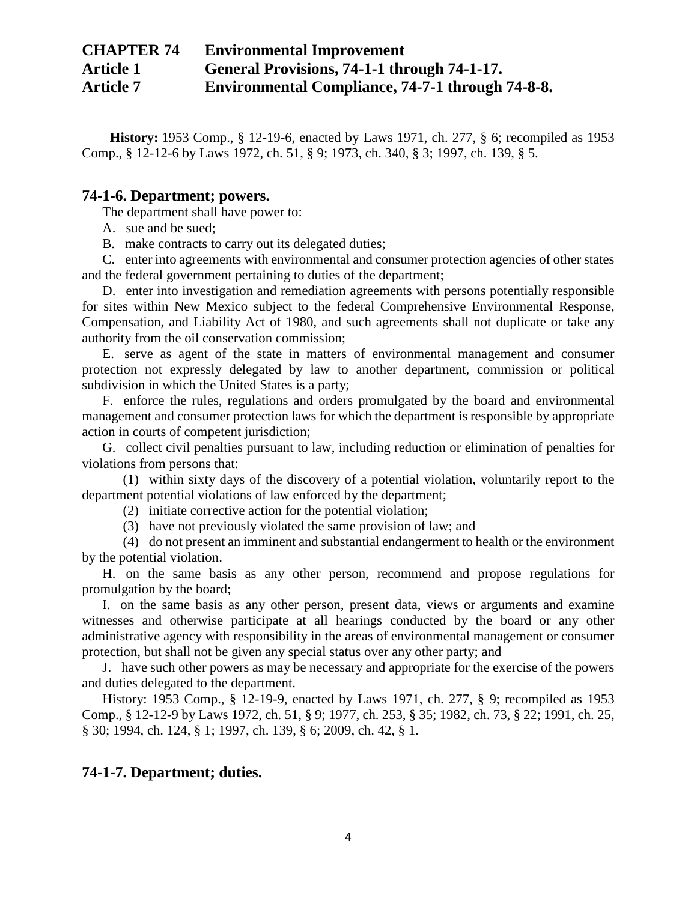**History:** 1953 Comp., § 12-19-6, enacted by Laws 1971, ch. 277, § 6; recompiled as 1953 Comp., § 12-12-6 by Laws 1972, ch. 51, § 9; 1973, ch. 340, § 3; 1997, ch. 139, § 5.

### **74-1-6. Department; powers.**

The department shall have power to:

A. sue and be sued;

B. make contracts to carry out its delegated duties;

C. enter into agreements with environmental and consumer protection agencies of other states and the federal government pertaining to duties of the department;

D. enter into investigation and remediation agreements with persons potentially responsible for sites within New Mexico subject to the federal Comprehensive Environmental Response, Compensation, and Liability Act of 1980, and such agreements shall not duplicate or take any authority from the oil conservation commission;

E. serve as agent of the state in matters of environmental management and consumer protection not expressly delegated by law to another department, commission or political subdivision in which the United States is a party;

F. enforce the rules, regulations and orders promulgated by the board and environmental management and consumer protection laws for which the department is responsible by appropriate action in courts of competent jurisdiction;

G. collect civil penalties pursuant to law, including reduction or elimination of penalties for violations from persons that:

(1) within sixty days of the discovery of a potential violation, voluntarily report to the department potential violations of law enforced by the department;

- (2) initiate corrective action for the potential violation;
- (3) have not previously violated the same provision of law; and

(4) do not present an imminent and substantial endangerment to health or the environment by the potential violation.

H. on the same basis as any other person, recommend and propose regulations for promulgation by the board;

I. on the same basis as any other person, present data, views or arguments and examine witnesses and otherwise participate at all hearings conducted by the board or any other administrative agency with responsibility in the areas of environmental management or consumer protection, but shall not be given any special status over any other party; and

J. have such other powers as may be necessary and appropriate for the exercise of the powers and duties delegated to the department.

History: 1953 Comp., § 12-19-9, enacted by Laws 1971, ch. 277, § 9; recompiled as 1953 Comp., § 12-12-9 by Laws 1972, ch. 51, § 9; 1977, ch. 253, § 35; 1982, ch. 73, § 22; 1991, ch. 25, § 30; 1994, ch. 124, § 1; 1997, ch. 139, § 6; 2009, ch. 42, § 1.

### **74-1-7. Department; duties.**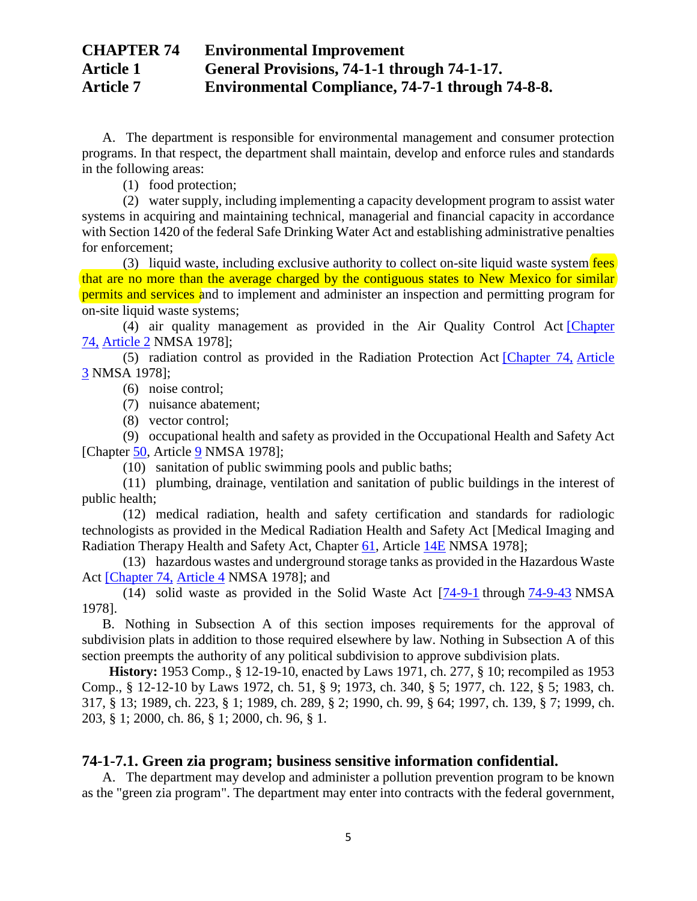A. The department is responsible for environmental management and consumer protection programs. In that respect, the department shall maintain, develop and enforce rules and standards in the following areas:

(1) food protection;

(2) water supply, including implementing a capacity development program to assist water systems in acquiring and maintaining technical, managerial and financial capacity in accordance with Section 1420 of the federal Safe Drinking Water Act and establishing administrative penalties for enforcement;

(3) liquid waste, including exclusive authority to collect on-site liquid waste system fees that are no more than the average charged by the contiguous states to New Mexico for similar permits and services and to implement and administer an inspection and permitting program for on-site liquid waste systems;

(4) air quality management as provided in the Air Quality Control Act [\[Chapter](http://public.nmcompcomm.us/nmpublic/gateway.dll?f=jumplink$jumplink_x=Advanced$jumplink_vpc=first$jumplink_xsl=querylink.xsl$jumplink_sel=title;path;content-type;home-title;item-bookmark$jumplink_d=%7bnmsu%7d$jumplink_q=%5bfield%20folio-destination-name:%27ch.%2074%27%5d$jumplink_md=target-id=0-0-0-1877)  [74,](http://public.nmcompcomm.us/nmpublic/gateway.dll?f=jumplink$jumplink_x=Advanced$jumplink_vpc=first$jumplink_xsl=querylink.xsl$jumplink_sel=title;path;content-type;home-title;item-bookmark$jumplink_d=%7bnmsu%7d$jumplink_q=%5bfield%20folio-destination-name:%27ch.%2074%27%5d$jumplink_md=target-id=0-0-0-1877) [Article 2](http://public.nmcompcomm.us/nmpublic/gateway.dll?f=jumplink$jumplink_x=Advanced$jumplink_vpc=first$jumplink_xsl=querylink.xsl$jumplink_sel=title;path;content-type;home-title;item-bookmark$jumplink_d=%7bnmsu%7d$jumplink_q=%5bfield%20folio-destination-name:%27Ch.%2074%2C%20Art.%202%27%5d$jumplink_md=target-id=0-0-0-121619) NMSA 1978];

(5) radiation control as provided in the Radiation Protection Act [\[Chapter 74,](http://public.nmcompcomm.us/nmpublic/gateway.dll?f=jumplink$jumplink_x=Advanced$jumplink_vpc=first$jumplink_xsl=querylink.xsl$jumplink_sel=title;path;content-type;home-title;item-bookmark$jumplink_d=%7bnmsu%7d$jumplink_q=%5bfield%20folio-destination-name:%27ch.%2074%27%5d$jumplink_md=target-id=0-0-0-1877) [Article](http://public.nmcompcomm.us/nmpublic/gateway.dll?f=jumplink$jumplink_x=Advanced$jumplink_vpc=first$jumplink_xsl=querylink.xsl$jumplink_sel=title;path;content-type;home-title;item-bookmark$jumplink_d=%7bnmsu%7d$jumplink_q=%5bfield%20folio-destination-name:%27Ch.%2074%2C%20Art.%203%27%5d$jumplink_md=target-id=0-0-0-121623)  [3](http://public.nmcompcomm.us/nmpublic/gateway.dll?f=jumplink$jumplink_x=Advanced$jumplink_vpc=first$jumplink_xsl=querylink.xsl$jumplink_sel=title;path;content-type;home-title;item-bookmark$jumplink_d=%7bnmsu%7d$jumplink_q=%5bfield%20folio-destination-name:%27Ch.%2074%2C%20Art.%203%27%5d$jumplink_md=target-id=0-0-0-121623) NMSA 1978];

(6) noise control;

(7) nuisance abatement;

(8) vector control;

(9) occupational health and safety as provided in the Occupational Health and Safety Act [Chapter [50,](http://public.nmcompcomm.us/nmpublic/gateway.dll?f=jumplink$jumplink_x=Advanced$jumplink_vpc=first$jumplink_xsl=querylink.xsl$jumplink_sel=title;path;content-type;home-title;item-bookmark$jumplink_d=%7bnmsu%7d$jumplink_q=%5bfield%20folio-destination-name:%27ch.%2050%27%5d$jumplink_md=target-id=0-0-0-1827) Article [9](http://public.nmcompcomm.us/nmpublic/gateway.dll?f=jumplink$jumplink_x=Advanced$jumplink_vpc=first$jumplink_xsl=querylink.xsl$jumplink_sel=title;path;content-type;home-title;item-bookmark$jumplink_d=%7bnmsu%7d$jumplink_q=%5bfield%20folio-destination-name:%27Ch.%2050%2C%20Art.%209%27%5d$jumplink_md=target-id=0-0-0-75321) NMSA 1978];

(10) sanitation of public swimming pools and public baths;

(11) plumbing, drainage, ventilation and sanitation of public buildings in the interest of public health;

(12) medical radiation, health and safety certification and standards for radiologic technologists as provided in the Medical Radiation Health and Safety Act [Medical Imaging and Radiation Therapy Health and Safety Act, Chapter [61,](http://public.nmcompcomm.us/nmpublic/gateway.dll?f=jumplink$jumplink_x=Advanced$jumplink_vpc=first$jumplink_xsl=querylink.xsl$jumplink_sel=title;path;content-type;home-title;item-bookmark$jumplink_d=%7bnmsu%7d$jumplink_q=%5bfield%20folio-destination-name:%27ch.%2061%27%5d$jumplink_md=target-id=0-0-0-1851) Article [14E](http://public.nmcompcomm.us/nmpublic/gateway.dll?f=jumplink$jumplink_x=Advanced$jumplink_vpc=first$jumplink_xsl=querylink.xsl$jumplink_sel=title;path;content-type;home-title;item-bookmark$jumplink_d=%7bnmsu%7d$jumplink_q=%5bfield%20folio-destination-name:%27ch.%2061%2C%20art.%2014e%27%5d$jumplink_md=target-id=0-0-0-20123) NMSA 1978];

(13) hazardous wastes and underground storage tanks as provided in the Hazardous Waste Act [\[Chapter 74,](http://public.nmcompcomm.us/nmpublic/gateway.dll?f=jumplink$jumplink_x=Advanced$jumplink_vpc=first$jumplink_xsl=querylink.xsl$jumplink_sel=title;path;content-type;home-title;item-bookmark$jumplink_d=%7bnmsu%7d$jumplink_q=%5bfield%20folio-destination-name:%27ch.%2074%27%5d$jumplink_md=target-id=0-0-0-1877) [Article 4](http://public.nmcompcomm.us/nmpublic/gateway.dll?f=jumplink$jumplink_x=Advanced$jumplink_vpc=first$jumplink_xsl=querylink.xsl$jumplink_sel=title;path;content-type;home-title;item-bookmark$jumplink_d=%7bnmsu%7d$jumplink_q=%5bfield%20folio-destination-name:%27ch.%2074%2C%20art.%204%27%5d$jumplink_md=target-id=0-0-0-11009) NMSA 1978]; and

(14) solid waste as provided in the Solid Waste Act [\[74-9-1](http://public.nmcompcomm.us/nmpublic/gateway.dll?f=jumplink$jumplink_x=Advanced$jumplink_vpc=first$jumplink_xsl=querylink.xsl$jumplink_sel=title;path;content-type;home-title;item-bookmark$jumplink_d=%7bnmsu%7d$jumplink_q=%5bfield%20folio-destination-name:%2774-9-1%27%5d$jumplink_md=target-id=0-0-0-16231) through [74-9-43](http://public.nmcompcomm.us/nmpublic/gateway.dll?f=jumplink$jumplink_x=Advanced$jumplink_vpc=first$jumplink_xsl=querylink.xsl$jumplink_sel=title;path;content-type;home-title;item-bookmark$jumplink_d=%7bnmsu%7d$jumplink_q=%5bfield%20folio-destination-name:%2774-9-43%27%5d$jumplink_md=target-id=0-0-0-121705) NMSA 1978].

B. Nothing in Subsection A of this section imposes requirements for the approval of subdivision plats in addition to those required elsewhere by law. Nothing in Subsection A of this section preempts the authority of any political subdivision to approve subdivision plats.

**History:** 1953 Comp., § 12-19-10, enacted by Laws 1971, ch. 277, § 10; recompiled as 1953 Comp., § 12-12-10 by Laws 1972, ch. 51, § 9; 1973, ch. 340, § 5; 1977, ch. 122, § 5; 1983, ch. 317, § 13; 1989, ch. 223, § 1; 1989, ch. 289, § 2; 1990, ch. 99, § 64; 1997, ch. 139, § 7; 1999, ch. 203, § 1; 2000, ch. 86, § 1; 2000, ch. 96, § 1.

## **74-1-7.1. Green zia program; business sensitive information confidential.**

A. The department may develop and administer a pollution prevention program to be known as the "green zia program". The department may enter into contracts with the federal government,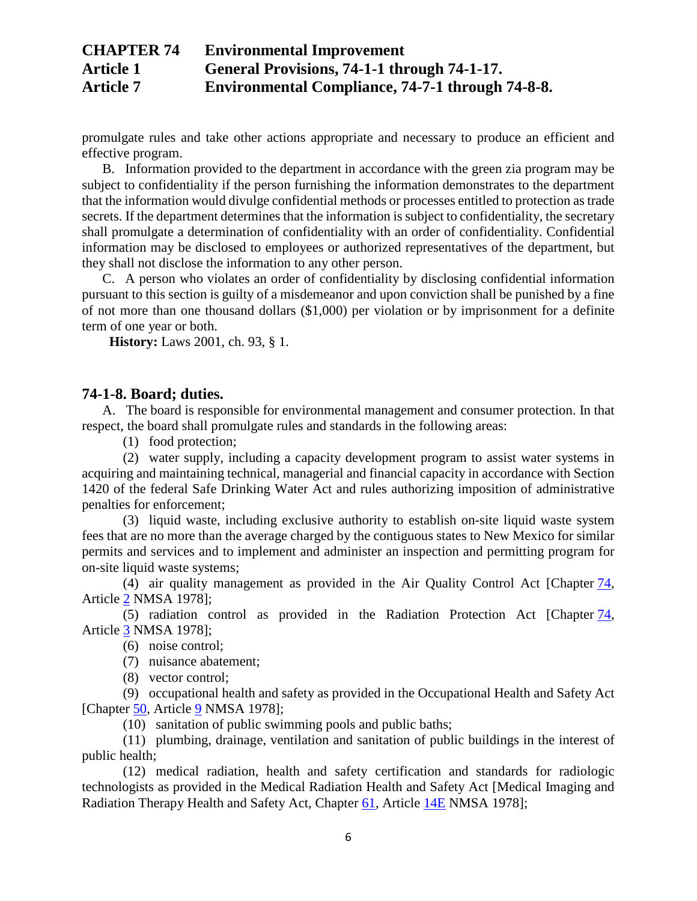promulgate rules and take other actions appropriate and necessary to produce an efficient and effective program.

B. Information provided to the department in accordance with the green zia program may be subject to confidentiality if the person furnishing the information demonstrates to the department that the information would divulge confidential methods or processes entitled to protection as trade secrets. If the department determines that the information is subject to confidentiality, the secretary shall promulgate a determination of confidentiality with an order of confidentiality. Confidential information may be disclosed to employees or authorized representatives of the department, but they shall not disclose the information to any other person.

C. A person who violates an order of confidentiality by disclosing confidential information pursuant to this section is guilty of a misdemeanor and upon conviction shall be punished by a fine of not more than one thousand dollars (\$1,000) per violation or by imprisonment for a definite term of one year or both.

**History:** Laws 2001, ch. 93, § 1.

### **74-1-8. Board; duties.**

A. The board is responsible for environmental management and consumer protection. In that respect, the board shall promulgate rules and standards in the following areas:

(1) food protection;

(2) water supply, including a capacity development program to assist water systems in acquiring and maintaining technical, managerial and financial capacity in accordance with Section 1420 of the federal Safe Drinking Water Act and rules authorizing imposition of administrative penalties for enforcement;

(3) liquid waste, including exclusive authority to establish on-site liquid waste system fees that are no more than the average charged by the contiguous states to New Mexico for similar permits and services and to implement and administer an inspection and permitting program for on-site liquid waste systems;

(4) air quality management as provided in the Air Quality Control Act [Chapter [74,](http://public.nmcompcomm.us/nmpublic/gateway.dll?f=jumplink$jumplink_x=Advanced$jumplink_vpc=first$jumplink_xsl=querylink.xsl$jumplink_sel=title;path;content-type;home-title;item-bookmark$jumplink_d=%7bnmsu%7d$jumplink_q=%5bfield%20folio-destination-name:%27ch.%2074%27%5d$jumplink_md=target-id=0-0-0-1877) Article [2](http://public.nmcompcomm.us/nmpublic/gateway.dll?f=jumplink$jumplink_x=Advanced$jumplink_vpc=first$jumplink_xsl=querylink.xsl$jumplink_sel=title;path;content-type;home-title;item-bookmark$jumplink_d=%7bnmsu%7d$jumplink_q=%5bfield%20folio-destination-name:%27Ch.%2074%2C%20Art.%202%27%5d$jumplink_md=target-id=0-0-0-121619) NMSA 1978];

(5) radiation control as provided in the Radiation Protection Act [Chapter [74,](http://public.nmcompcomm.us/nmpublic/gateway.dll?f=jumplink$jumplink_x=Advanced$jumplink_vpc=first$jumplink_xsl=querylink.xsl$jumplink_sel=title;path;content-type;home-title;item-bookmark$jumplink_d=%7bnmsu%7d$jumplink_q=%5bfield%20folio-destination-name:%27ch.%2074%27%5d$jumplink_md=target-id=0-0-0-1877) Article [3](http://public.nmcompcomm.us/nmpublic/gateway.dll?f=jumplink$jumplink_x=Advanced$jumplink_vpc=first$jumplink_xsl=querylink.xsl$jumplink_sel=title;path;content-type;home-title;item-bookmark$jumplink_d=%7bnmsu%7d$jumplink_q=%5bfield%20folio-destination-name:%27Ch.%2074%2C%20Art.%203%27%5d$jumplink_md=target-id=0-0-0-121623) NMSA 1978];

(6) noise control;

(7) nuisance abatement;

(8) vector control;

(9) occupational health and safety as provided in the Occupational Health and Safety Act [Chapter [50,](http://public.nmcompcomm.us/nmpublic/gateway.dll?f=jumplink$jumplink_x=Advanced$jumplink_vpc=first$jumplink_xsl=querylink.xsl$jumplink_sel=title;path;content-type;home-title;item-bookmark$jumplink_d=%7bnmsu%7d$jumplink_q=%5bfield%20folio-destination-name:%27ch.%2050%27%5d$jumplink_md=target-id=0-0-0-1827) Article [9](http://public.nmcompcomm.us/nmpublic/gateway.dll?f=jumplink$jumplink_x=Advanced$jumplink_vpc=first$jumplink_xsl=querylink.xsl$jumplink_sel=title;path;content-type;home-title;item-bookmark$jumplink_d=%7bnmsu%7d$jumplink_q=%5bfield%20folio-destination-name:%27Ch.%2050%2C%20Art.%209%27%5d$jumplink_md=target-id=0-0-0-75321) NMSA 1978];

(10) sanitation of public swimming pools and public baths;

(11) plumbing, drainage, ventilation and sanitation of public buildings in the interest of public health;

(12) medical radiation, health and safety certification and standards for radiologic technologists as provided in the Medical Radiation Health and Safety Act [Medical Imaging and Radiation Therapy Health and Safety Act, Chapter [61,](http://public.nmcompcomm.us/nmpublic/gateway.dll?f=jumplink$jumplink_x=Advanced$jumplink_vpc=first$jumplink_xsl=querylink.xsl$jumplink_sel=title;path;content-type;home-title;item-bookmark$jumplink_d=%7bnmsu%7d$jumplink_q=%5bfield%20folio-destination-name:%27ch.%2061%27%5d$jumplink_md=target-id=0-0-0-1851) Article [14E](http://public.nmcompcomm.us/nmpublic/gateway.dll?f=jumplink$jumplink_x=Advanced$jumplink_vpc=first$jumplink_xsl=querylink.xsl$jumplink_sel=title;path;content-type;home-title;item-bookmark$jumplink_d=%7bnmsu%7d$jumplink_q=%5bfield%20folio-destination-name:%27ch.%2061%2C%20art.%2014e%27%5d$jumplink_md=target-id=0-0-0-20123) NMSA 1978];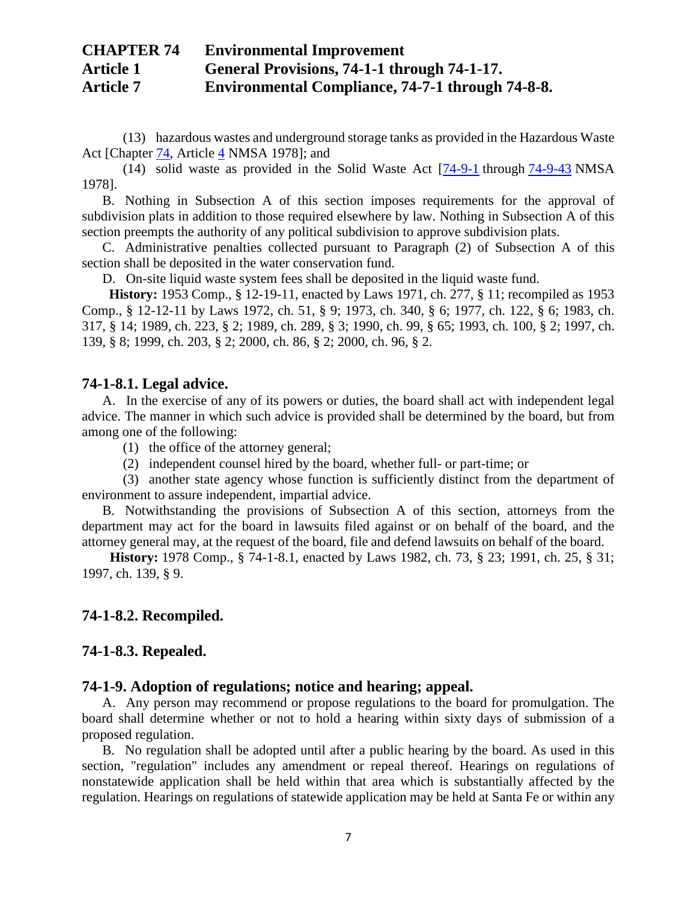(13) hazardous wastes and underground storage tanks as provided in the Hazardous Waste Act [Chapter [74,](http://public.nmcompcomm.us/nmpublic/gateway.dll?f=jumplink$jumplink_x=Advanced$jumplink_vpc=first$jumplink_xsl=querylink.xsl$jumplink_sel=title;path;content-type;home-title;item-bookmark$jumplink_d=%7bnmsu%7d$jumplink_q=%5bfield%20folio-destination-name:%27ch.%2074%27%5d$jumplink_md=target-id=0-0-0-1877) Article [4](http://public.nmcompcomm.us/nmpublic/gateway.dll?f=jumplink$jumplink_x=Advanced$jumplink_vpc=first$jumplink_xsl=querylink.xsl$jumplink_sel=title;path;content-type;home-title;item-bookmark$jumplink_d=%7bnmsu%7d$jumplink_q=%5bfield%20folio-destination-name:%27ch.%2074%2C%20art.%204%27%5d$jumplink_md=target-id=0-0-0-11009) NMSA 1978]; and

(14) solid waste as provided in the Solid Waste Act [\[74-9-1](http://public.nmcompcomm.us/nmpublic/gateway.dll?f=jumplink$jumplink_x=Advanced$jumplink_vpc=first$jumplink_xsl=querylink.xsl$jumplink_sel=title;path;content-type;home-title;item-bookmark$jumplink_d=%7bnmsu%7d$jumplink_q=%5bfield%20folio-destination-name:%2774-9-1%27%5d$jumplink_md=target-id=0-0-0-16231) through [74-9-43](http://public.nmcompcomm.us/nmpublic/gateway.dll?f=jumplink$jumplink_x=Advanced$jumplink_vpc=first$jumplink_xsl=querylink.xsl$jumplink_sel=title;path;content-type;home-title;item-bookmark$jumplink_d=%7bnmsu%7d$jumplink_q=%5bfield%20folio-destination-name:%2774-9-43%27%5d$jumplink_md=target-id=0-0-0-121705) NMSA 1978].

B. Nothing in Subsection A of this section imposes requirements for the approval of subdivision plats in addition to those required elsewhere by law. Nothing in Subsection A of this section preempts the authority of any political subdivision to approve subdivision plats.

C. Administrative penalties collected pursuant to Paragraph (2) of Subsection A of this section shall be deposited in the water conservation fund.

D. On-site liquid waste system fees shall be deposited in the liquid waste fund.

**History:** 1953 Comp., § 12-19-11, enacted by Laws 1971, ch. 277, § 11; recompiled as 1953 Comp., § 12-12-11 by Laws 1972, ch. 51, § 9; 1973, ch. 340, § 6; 1977, ch. 122, § 6; 1983, ch. 317, § 14; 1989, ch. 223, § 2; 1989, ch. 289, § 3; 1990, ch. 99, § 65; 1993, ch. 100, § 2; 1997, ch. 139, § 8; 1999, ch. 203, § 2; 2000, ch. 86, § 2; 2000, ch. 96, § 2.

### **74-1-8.1. Legal advice.**

A. In the exercise of any of its powers or duties, the board shall act with independent legal advice. The manner in which such advice is provided shall be determined by the board, but from among one of the following:

(1) the office of the attorney general;

(2) independent counsel hired by the board, whether full- or part-time; or

(3) another state agency whose function is sufficiently distinct from the department of environment to assure independent, impartial advice.

B. Notwithstanding the provisions of Subsection A of this section, attorneys from the department may act for the board in lawsuits filed against or on behalf of the board, and the attorney general may, at the request of the board, file and defend lawsuits on behalf of the board.

**History:** 1978 Comp., § 74-1-8.1, enacted by Laws 1982, ch. 73, § 23; 1991, ch. 25, § 31; 1997, ch. 139, § 9.

### **74-1-8.2. Recompiled.**

### **74-1-8.3. Repealed.**

#### **74-1-9. Adoption of regulations; notice and hearing; appeal.**

A. Any person may recommend or propose regulations to the board for promulgation. The board shall determine whether or not to hold a hearing within sixty days of submission of a proposed regulation.

B. No regulation shall be adopted until after a public hearing by the board. As used in this section, "regulation" includes any amendment or repeal thereof. Hearings on regulations of nonstatewide application shall be held within that area which is substantially affected by the regulation. Hearings on regulations of statewide application may be held at Santa Fe or within any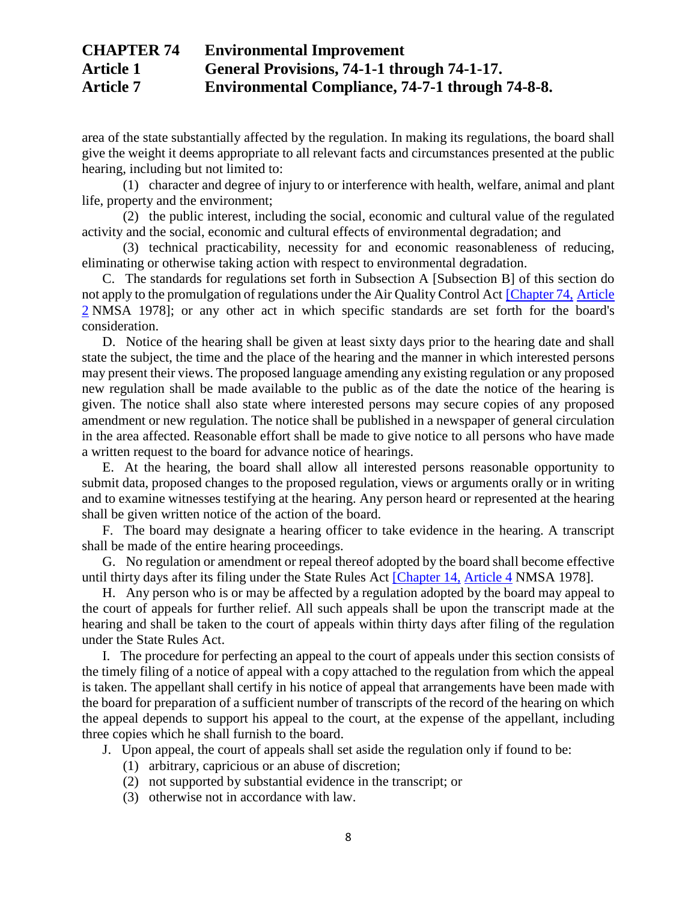area of the state substantially affected by the regulation. In making its regulations, the board shall give the weight it deems appropriate to all relevant facts and circumstances presented at the public hearing, including but not limited to:

(1) character and degree of injury to or interference with health, welfare, animal and plant life, property and the environment;

(2) the public interest, including the social, economic and cultural value of the regulated activity and the social, economic and cultural effects of environmental degradation; and

(3) technical practicability, necessity for and economic reasonableness of reducing, eliminating or otherwise taking action with respect to environmental degradation.

C. The standards for regulations set forth in Subsection A [Subsection B] of this section do not apply to the promulgation of regulations under the Air Quality Control Act [\[Chapter 74,](http://public.nmcompcomm.us/nmpublic/gateway.dll?f=jumplink$jumplink_x=Advanced$jumplink_vpc=first$jumplink_xsl=querylink.xsl$jumplink_sel=title;path;content-type;home-title;item-bookmark$jumplink_d=%7bnmsu%7d$jumplink_q=%5bfield%20folio-destination-name:%27ch.%2074%27%5d$jumplink_md=target-id=0-0-0-1877) [Article](http://public.nmcompcomm.us/nmpublic/gateway.dll?f=jumplink$jumplink_x=Advanced$jumplink_vpc=first$jumplink_xsl=querylink.xsl$jumplink_sel=title;path;content-type;home-title;item-bookmark$jumplink_d=%7bnmsu%7d$jumplink_q=%5bfield%20folio-destination-name:%27Ch.%2074%2C%20Art.%202%27%5d$jumplink_md=target-id=0-0-0-121619)  [2](http://public.nmcompcomm.us/nmpublic/gateway.dll?f=jumplink$jumplink_x=Advanced$jumplink_vpc=first$jumplink_xsl=querylink.xsl$jumplink_sel=title;path;content-type;home-title;item-bookmark$jumplink_d=%7bnmsu%7d$jumplink_q=%5bfield%20folio-destination-name:%27Ch.%2074%2C%20Art.%202%27%5d$jumplink_md=target-id=0-0-0-121619) NMSA 1978]; or any other act in which specific standards are set forth for the board's consideration.

D. Notice of the hearing shall be given at least sixty days prior to the hearing date and shall state the subject, the time and the place of the hearing and the manner in which interested persons may present their views. The proposed language amending any existing regulation or any proposed new regulation shall be made available to the public as of the date the notice of the hearing is given. The notice shall also state where interested persons may secure copies of any proposed amendment or new regulation. The notice shall be published in a newspaper of general circulation in the area affected. Reasonable effort shall be made to give notice to all persons who have made a written request to the board for advance notice of hearings.

E. At the hearing, the board shall allow all interested persons reasonable opportunity to submit data, proposed changes to the proposed regulation, views or arguments orally or in writing and to examine witnesses testifying at the hearing. Any person heard or represented at the hearing shall be given written notice of the action of the board.

F. The board may designate a hearing officer to take evidence in the hearing. A transcript shall be made of the entire hearing proceedings.

G. No regulation or amendment or repeal thereof adopted by the board shall become effective until thirty days after its filing under the State Rules Act [\[Chapter 14,](http://public.nmcompcomm.us/nmpublic/gateway.dll?f=jumplink$jumplink_x=Advanced$jumplink_vpc=first$jumplink_xsl=querylink.xsl$jumplink_sel=title;path;content-type;home-title;item-bookmark$jumplink_d=%7bnmsu%7d$jumplink_q=%5bfield%20folio-destination-name:%27ch.%2014%27%5d$jumplink_md=target-id=0-0-0-1745) [Article 4](http://public.nmcompcomm.us/nmpublic/gateway.dll?f=jumplink$jumplink_x=Advanced$jumplink_vpc=first$jumplink_xsl=querylink.xsl$jumplink_sel=title;path;content-type;home-title;item-bookmark$jumplink_d=%7bnmsu%7d$jumplink_q=%5bfield%20folio-destination-name:%27ch.%2014%2C%20art.%204%27%5d$jumplink_md=target-id=0-0-0-2191) NMSA 1978].

H. Any person who is or may be affected by a regulation adopted by the board may appeal to the court of appeals for further relief. All such appeals shall be upon the transcript made at the hearing and shall be taken to the court of appeals within thirty days after filing of the regulation under the State Rules Act.

I. The procedure for perfecting an appeal to the court of appeals under this section consists of the timely filing of a notice of appeal with a copy attached to the regulation from which the appeal is taken. The appellant shall certify in his notice of appeal that arrangements have been made with the board for preparation of a sufficient number of transcripts of the record of the hearing on which the appeal depends to support his appeal to the court, at the expense of the appellant, including three copies which he shall furnish to the board.

- J. Upon appeal, the court of appeals shall set aside the regulation only if found to be:
	- (1) arbitrary, capricious or an abuse of discretion;
	- (2) not supported by substantial evidence in the transcript; or
	- (3) otherwise not in accordance with law.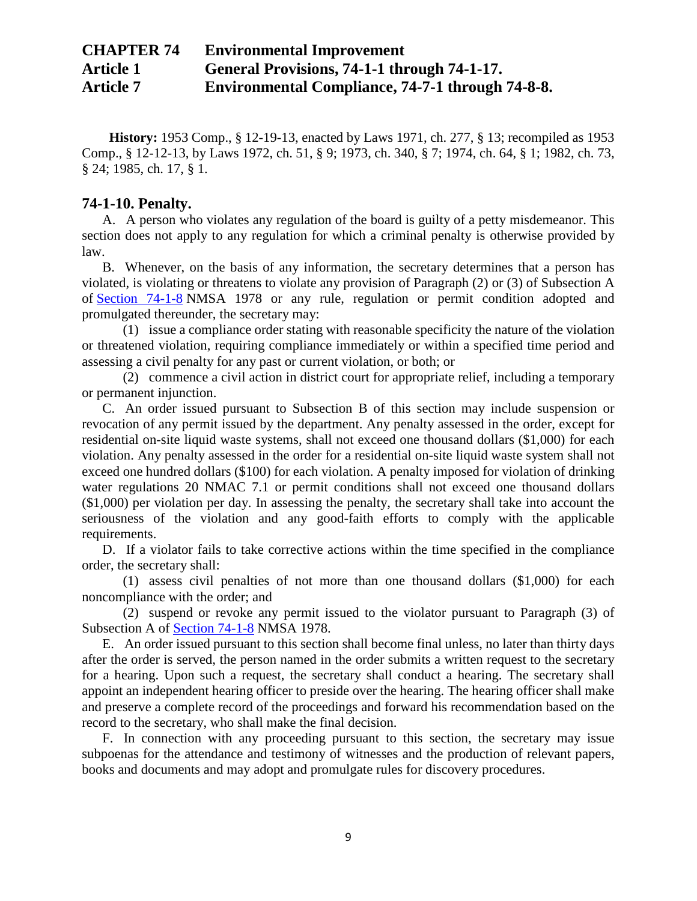**History:** 1953 Comp., § 12-19-13, enacted by Laws 1971, ch. 277, § 13; recompiled as 1953 Comp., § 12-12-13, by Laws 1972, ch. 51, § 9; 1973, ch. 340, § 7; 1974, ch. 64, § 1; 1982, ch. 73, § 24; 1985, ch. 17, § 1.

### **74-1-10. Penalty.**

A. A person who violates any regulation of the board is guilty of a petty misdemeanor. This section does not apply to any regulation for which a criminal penalty is otherwise provided by law.

B. Whenever, on the basis of any information, the secretary determines that a person has violated, is violating or threatens to violate any provision of Paragraph (2) or (3) of Subsection A of [Section 74-1-8](http://public.nmcompcomm.us/nmpublic/gateway.dll?f=jumplink$jumplink_x=Advanced$jumplink_vpc=first$jumplink_xsl=querylink.xsl$jumplink_sel=title;path;content-type;home-title;item-bookmark$jumplink_d=%7bnmsu%7d$jumplink_q=%5bfield%20folio-destination-name:%2774-1-8%27%5d$jumplink_md=target-id=0-0-0-104591) NMSA 1978 or any rule, regulation or permit condition adopted and promulgated thereunder, the secretary may:

(1) issue a compliance order stating with reasonable specificity the nature of the violation or threatened violation, requiring compliance immediately or within a specified time period and assessing a civil penalty for any past or current violation, or both; or

(2) commence a civil action in district court for appropriate relief, including a temporary or permanent injunction.

C. An order issued pursuant to Subsection B of this section may include suspension or revocation of any permit issued by the department. Any penalty assessed in the order, except for residential on-site liquid waste systems, shall not exceed one thousand dollars (\$1,000) for each violation. Any penalty assessed in the order for a residential on-site liquid waste system shall not exceed one hundred dollars (\$100) for each violation. A penalty imposed for violation of drinking water regulations 20 NMAC 7.1 or permit conditions shall not exceed one thousand dollars (\$1,000) per violation per day. In assessing the penalty, the secretary shall take into account the seriousness of the violation and any good-faith efforts to comply with the applicable requirements.

D. If a violator fails to take corrective actions within the time specified in the compliance order, the secretary shall:

(1) assess civil penalties of not more than one thousand dollars (\$1,000) for each noncompliance with the order; and

(2) suspend or revoke any permit issued to the violator pursuant to Paragraph (3) of Subsection A of [Section 74-1-8](http://public.nmcompcomm.us/nmpublic/gateway.dll?f=jumplink$jumplink_x=Advanced$jumplink_vpc=first$jumplink_xsl=querylink.xsl$jumplink_sel=title;path;content-type;home-title;item-bookmark$jumplink_d=%7bnmsu%7d$jumplink_q=%5bfield%20folio-destination-name:%2774-1-8%27%5d$jumplink_md=target-id=0-0-0-104591) NMSA 1978.

E. An order issued pursuant to this section shall become final unless, no later than thirty days after the order is served, the person named in the order submits a written request to the secretary for a hearing. Upon such a request, the secretary shall conduct a hearing. The secretary shall appoint an independent hearing officer to preside over the hearing. The hearing officer shall make and preserve a complete record of the proceedings and forward his recommendation based on the record to the secretary, who shall make the final decision.

F. In connection with any proceeding pursuant to this section, the secretary may issue subpoenas for the attendance and testimony of witnesses and the production of relevant papers, books and documents and may adopt and promulgate rules for discovery procedures.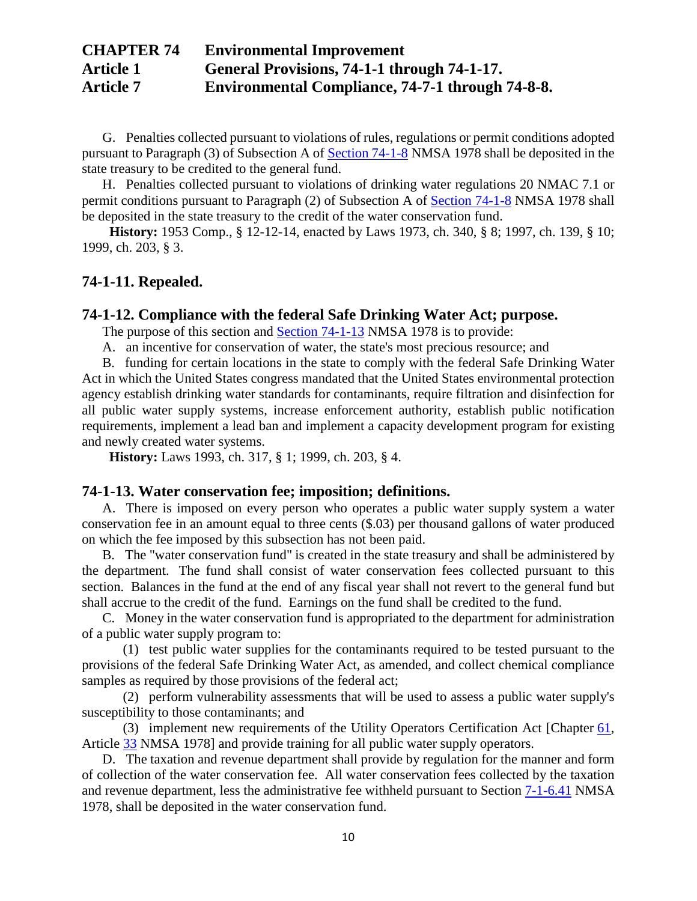G. Penalties collected pursuant to violations of rules, regulations or permit conditions adopted pursuant to Paragraph (3) of Subsection A of [Section 74-1-8](http://public.nmcompcomm.us/nmpublic/gateway.dll?f=jumplink$jumplink_x=Advanced$jumplink_vpc=first$jumplink_xsl=querylink.xsl$jumplink_sel=title;path;content-type;home-title;item-bookmark$jumplink_d=%7bnmsu%7d$jumplink_q=%5bfield%20folio-destination-name:%2774-1-8%27%5d$jumplink_md=target-id=0-0-0-104591) NMSA 1978 shall be deposited in the state treasury to be credited to the general fund.

H. Penalties collected pursuant to violations of drinking water regulations 20 NMAC 7.1 or permit conditions pursuant to Paragraph (2) of Subsection A of [Section 74-1-8](http://public.nmcompcomm.us/nmpublic/gateway.dll?f=jumplink$jumplink_x=Advanced$jumplink_vpc=first$jumplink_xsl=querylink.xsl$jumplink_sel=title;path;content-type;home-title;item-bookmark$jumplink_d=%7bnmsu%7d$jumplink_q=%5bfield%20folio-destination-name:%2774-1-8%27%5d$jumplink_md=target-id=0-0-0-104591) NMSA 1978 shall be deposited in the state treasury to the credit of the water conservation fund.

**History:** 1953 Comp., § 12-12-14, enacted by Laws 1973, ch. 340, § 8; 1997, ch. 139, § 10; 1999, ch. 203, § 3.

### **74-1-11. Repealed.**

### **74-1-12. Compliance with the federal Safe Drinking Water Act; purpose.**

The purpose of this section and **[Section 74-1-13](http://public.nmcompcomm.us/nmpublic/gateway.dll?f=jumplink$jumplink_x=Advanced$jumplink_vpc=first$jumplink_xsl=querylink.xsl$jumplink_sel=title;path;content-type;home-title;item-bookmark$jumplink_d=%7bnmsu%7d$jumplink_q=%5bfield%20folio-destination-name:%2774-1-13%27%5d$jumplink_md=target-id=0-0-0-17653)** NMSA 1978 is to provide:

A. an incentive for conservation of water, the state's most precious resource; and

B. funding for certain locations in the state to comply with the federal Safe Drinking Water Act in which the United States congress mandated that the United States environmental protection agency establish drinking water standards for contaminants, require filtration and disinfection for all public water supply systems, increase enforcement authority, establish public notification requirements, implement a lead ban and implement a capacity development program for existing and newly created water systems.

**History:** Laws 1993, ch. 317, § 1; 1999, ch. 203, § 4.

### **74-1-13. Water conservation fee; imposition; definitions.**

A. There is imposed on every person who operates a public water supply system a water conservation fee in an amount equal to three cents (\$.03) per thousand gallons of water produced on which the fee imposed by this subsection has not been paid.

B. The "water conservation fund" is created in the state treasury and shall be administered by the department. The fund shall consist of water conservation fees collected pursuant to this section. Balances in the fund at the end of any fiscal year shall not revert to the general fund but shall accrue to the credit of the fund. Earnings on the fund shall be credited to the fund.

C. Money in the water conservation fund is appropriated to the department for administration of a public water supply program to:

(1) test public water supplies for the contaminants required to be tested pursuant to the provisions of the federal Safe Drinking Water Act, as amended, and collect chemical compliance samples as required by those provisions of the federal act;

(2) perform vulnerability assessments that will be used to assess a public water supply's susceptibility to those contaminants; and

(3) implement new requirements of the Utility Operators Certification Act [Chapter [61,](http://public.nmcompcomm.us/nmpublic/gateway.dll?f=jumplink$jumplink_x=Advanced$jumplink_vpc=first$jumplink_xsl=querylink.xsl$jumplink_sel=title;path;content-type;home-title;item-bookmark$jumplink_d=%7bnmsu%7d$jumplink_q=%5bfield%20folio-destination-name:%27ch.%2061%27%5d$jumplink_md=target-id=0-0-0-1851) Article [33](http://public.nmcompcomm.us/nmpublic/gateway.dll?f=jumplink$jumplink_x=Advanced$jumplink_vpc=first$jumplink_xsl=querylink.xsl$jumplink_sel=title;path;content-type;home-title;item-bookmark$jumplink_d=%7bnmsu%7d$jumplink_q=%5bfield%20folio-destination-name:%27Ch.%2061%2C%20Art.%2033%27%5d$jumplink_md=target-id=0-0-0-99861) NMSA 1978] and provide training for all public water supply operators.

D. The taxation and revenue department shall provide by regulation for the manner and form of collection of the water conservation fee. All water conservation fees collected by the taxation and revenue department, less the administrative fee withheld pursuant to Section [7-1-6.41](http://public.nmcompcomm.us/nmpublic/gateway.dll?f=jumplink$jumplink_x=Advanced$jumplink_vpc=first$jumplink_xsl=querylink.xsl$jumplink_sel=title;path;content-type;home-title;item-bookmark$jumplink_d=%7bnmsu%7d$jumplink_q=%5bfield%20folio-destination-name:%277-1-6.41%27%5d$jumplink_md=target-id=0-0-0-17365) NMSA 1978, shall be deposited in the water conservation fund.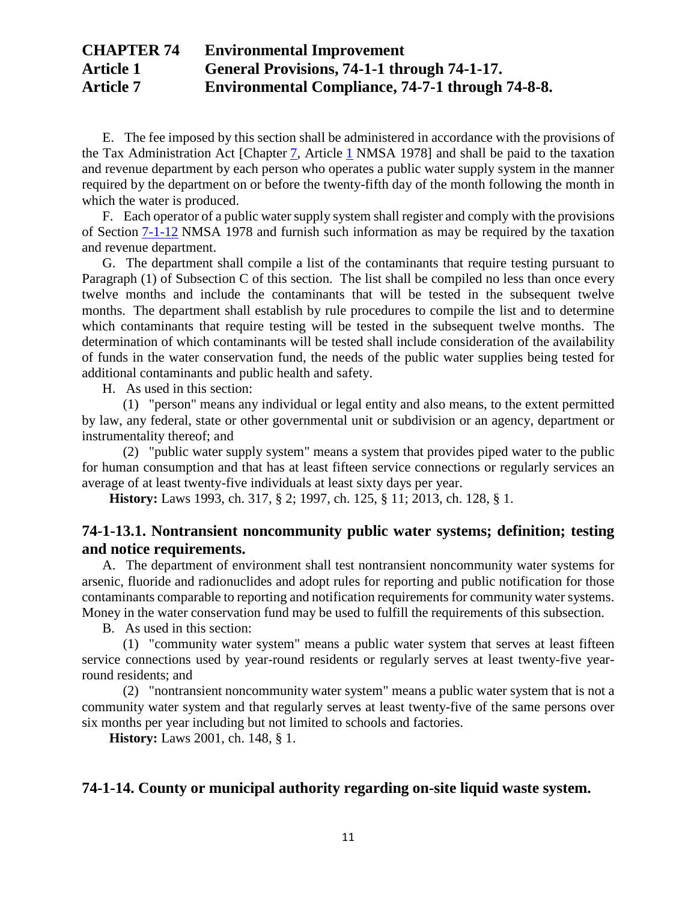E. The fee imposed by this section shall be administered in accordance with the provisions of the Tax Administration Act [Chapter [7,](http://public.nmcompcomm.us/nmpublic/gateway.dll?f=jumplink$jumplink_x=Advanced$jumplink_vpc=first$jumplink_xsl=querylink.xsl$jumplink_sel=title;path;content-type;home-title;item-bookmark$jumplink_d=%7bnmsu%7d$jumplink_q=%5bfield%20folio-destination-name:%27ch.%207%27%5d$jumplink_md=target-id=0-0-0-1731) Article [1](http://public.nmcompcomm.us/nmpublic/gateway.dll?f=jumplink$jumplink_x=Advanced$jumplink_vpc=first$jumplink_xsl=querylink.xsl$jumplink_sel=title;path;content-type;home-title;item-bookmark$jumplink_d=%7bnmsu%7d$jumplink_q=%5bfield%20folio-destination-name:%27ch.%207%2C%20art.%201%27%5d$jumplink_md=target-id=0-0-0-13885) NMSA 1978] and shall be paid to the taxation and revenue department by each person who operates a public water supply system in the manner required by the department on or before the twenty-fifth day of the month following the month in which the water is produced.

F. Each operator of a public water supply system shall register and comply with the provisions of Section [7-1-12](http://public.nmcompcomm.us/nmpublic/gateway.dll?f=jumplink$jumplink_x=Advanced$jumplink_vpc=first$jumplink_xsl=querylink.xsl$jumplink_sel=title;path;content-type;home-title;item-bookmark$jumplink_d=%7bnmsu%7d$jumplink_q=%5bfield%20folio-destination-name:%277-1-12%27%5d$jumplink_md=target-id=0-0-0-17441) NMSA 1978 and furnish such information as may be required by the taxation and revenue department.

G. The department shall compile a list of the contaminants that require testing pursuant to Paragraph (1) of Subsection C of this section. The list shall be compiled no less than once every twelve months and include the contaminants that will be tested in the subsequent twelve months. The department shall establish by rule procedures to compile the list and to determine which contaminants that require testing will be tested in the subsequent twelve months. The determination of which contaminants will be tested shall include consideration of the availability of funds in the water conservation fund, the needs of the public water supplies being tested for additional contaminants and public health and safety.

H. As used in this section:

(1) "person" means any individual or legal entity and also means, to the extent permitted by law, any federal, state or other governmental unit or subdivision or an agency, department or instrumentality thereof; and

(2) "public water supply system" means a system that provides piped water to the public for human consumption and that has at least fifteen service connections or regularly services an average of at least twenty-five individuals at least sixty days per year.

**History:** Laws 1993, ch. 317, § 2; 1997, ch. 125, § 11; 2013, ch. 128, § 1.

## **74-1-13.1. Nontransient noncommunity public water systems; definition; testing and notice requirements.**

A. The department of environment shall test nontransient noncommunity water systems for arsenic, fluoride and radionuclides and adopt rules for reporting and public notification for those contaminants comparable to reporting and notification requirements for community water systems. Money in the water conservation fund may be used to fulfill the requirements of this subsection.

B. As used in this section:

(1) "community water system" means a public water system that serves at least fifteen service connections used by year-round residents or regularly serves at least twenty-five yearround residents; and

(2) "nontransient noncommunity water system" means a public water system that is not a community water system and that regularly serves at least twenty-five of the same persons over six months per year including but not limited to schools and factories.

**History:** Laws 2001, ch. 148, § 1.

### **74-1-14. County or municipal authority regarding on-site liquid waste system.**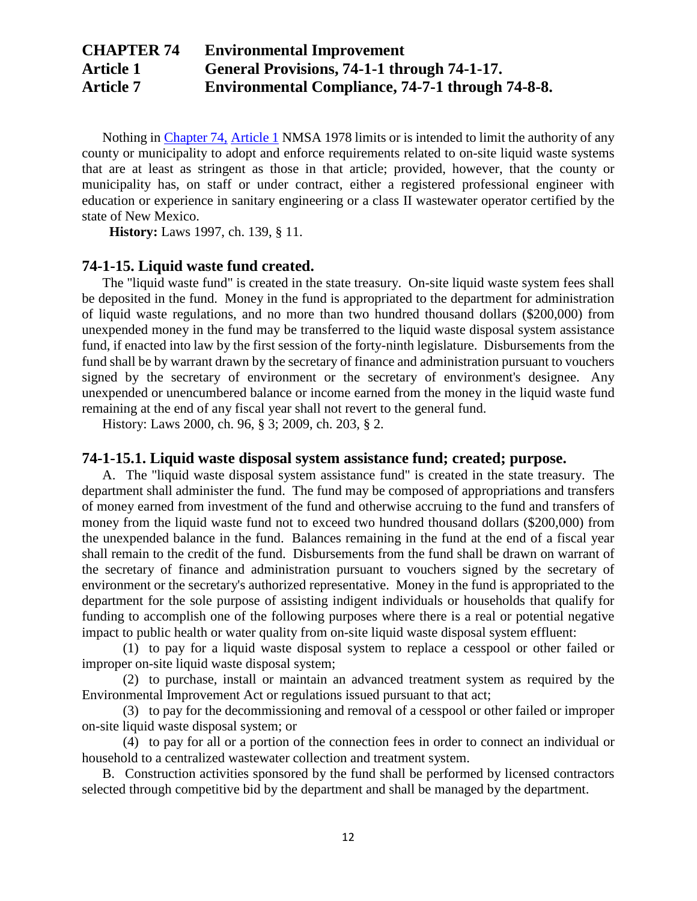Nothing in [Chapter 74,](http://public.nmcompcomm.us/nmpublic/gateway.dll?f=jumplink$jumplink_x=Advanced$jumplink_vpc=first$jumplink_xsl=querylink.xsl$jumplink_sel=title;path;content-type;home-title;item-bookmark$jumplink_d=%7bnmsu%7d$jumplink_q=%5bfield%20folio-destination-name:%27ch.%2074%27%5d$jumplink_md=target-id=0-0-0-1877) [Article 1](http://public.nmcompcomm.us/nmpublic/gateway.dll?f=jumplink$jumplink_x=Advanced$jumplink_vpc=first$jumplink_xsl=querylink.xsl$jumplink_sel=title;path;content-type;home-title;item-bookmark$jumplink_d=%7bnmsu%7d$jumplink_q=%5bfield%20folio-destination-name:%27ch.%2074%2C%20art.%201%27%5d$jumplink_md=target-id=0-0-0-72697) NMSA 1978 limits or is intended to limit the authority of any county or municipality to adopt and enforce requirements related to on-site liquid waste systems that are at least as stringent as those in that article; provided, however, that the county or municipality has, on staff or under contract, either a registered professional engineer with education or experience in sanitary engineering or a class II wastewater operator certified by the state of New Mexico.

**History:** Laws 1997, ch. 139, § 11.

### **74-1-15. Liquid waste fund created.**

The "liquid waste fund" is created in the state treasury. On-site liquid waste system fees shall be deposited in the fund. Money in the fund is appropriated to the department for administration of liquid waste regulations, and no more than two hundred thousand dollars (\$200,000) from unexpended money in the fund may be transferred to the liquid waste disposal system assistance fund, if enacted into law by the first session of the forty-ninth legislature. Disbursements from the fund shall be by warrant drawn by the secretary of finance and administration pursuant to vouchers signed by the secretary of environment or the secretary of environment's designee. Any unexpended or unencumbered balance or income earned from the money in the liquid waste fund remaining at the end of any fiscal year shall not revert to the general fund.

History: Laws 2000, ch. 96, § 3; 2009, ch. 203, § 2.

### **74-1-15.1. Liquid waste disposal system assistance fund; created; purpose.**

A. The "liquid waste disposal system assistance fund" is created in the state treasury. The department shall administer the fund. The fund may be composed of appropriations and transfers of money earned from investment of the fund and otherwise accruing to the fund and transfers of money from the liquid waste fund not to exceed two hundred thousand dollars (\$200,000) from the unexpended balance in the fund. Balances remaining in the fund at the end of a fiscal year shall remain to the credit of the fund. Disbursements from the fund shall be drawn on warrant of the secretary of finance and administration pursuant to vouchers signed by the secretary of environment or the secretary's authorized representative. Money in the fund is appropriated to the department for the sole purpose of assisting indigent individuals or households that qualify for funding to accomplish one of the following purposes where there is a real or potential negative impact to public health or water quality from on-site liquid waste disposal system effluent:

(1) to pay for a liquid waste disposal system to replace a cesspool or other failed or improper on-site liquid waste disposal system;

(2) to purchase, install or maintain an advanced treatment system as required by the Environmental Improvement Act or regulations issued pursuant to that act;

(3) to pay for the decommissioning and removal of a cesspool or other failed or improper on-site liquid waste disposal system; or

(4) to pay for all or a portion of the connection fees in order to connect an individual or household to a centralized wastewater collection and treatment system.

B. Construction activities sponsored by the fund shall be performed by licensed contractors selected through competitive bid by the department and shall be managed by the department.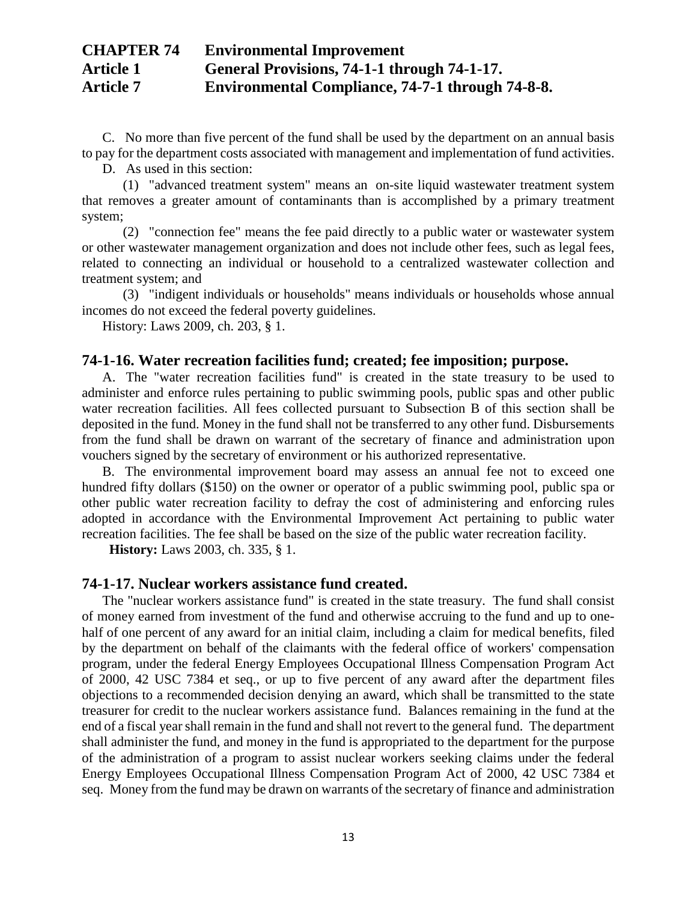C. No more than five percent of the fund shall be used by the department on an annual basis to pay for the department costs associated with management and implementation of fund activities.

D. As used in this section:

(1) "advanced treatment system" means an on-site liquid wastewater treatment system that removes a greater amount of contaminants than is accomplished by a primary treatment system;

(2) "connection fee" means the fee paid directly to a public water or wastewater system or other wastewater management organization and does not include other fees, such as legal fees, related to connecting an individual or household to a centralized wastewater collection and treatment system; and

(3) "indigent individuals or households" means individuals or households whose annual incomes do not exceed the federal poverty guidelines.

History: Laws 2009, ch. 203, § 1.

#### **74-1-16. Water recreation facilities fund; created; fee imposition; purpose.**

A. The "water recreation facilities fund" is created in the state treasury to be used to administer and enforce rules pertaining to public swimming pools, public spas and other public water recreation facilities. All fees collected pursuant to Subsection B of this section shall be deposited in the fund. Money in the fund shall not be transferred to any other fund. Disbursements from the fund shall be drawn on warrant of the secretary of finance and administration upon vouchers signed by the secretary of environment or his authorized representative.

B. The environmental improvement board may assess an annual fee not to exceed one hundred fifty dollars (\$150) on the owner or operator of a public swimming pool, public spa or other public water recreation facility to defray the cost of administering and enforcing rules adopted in accordance with the Environmental Improvement Act pertaining to public water recreation facilities. The fee shall be based on the size of the public water recreation facility.

**History:** Laws 2003, ch. 335, § 1.

### **74-1-17. Nuclear workers assistance fund created.**

The "nuclear workers assistance fund" is created in the state treasury. The fund shall consist of money earned from investment of the fund and otherwise accruing to the fund and up to onehalf of one percent of any award for an initial claim, including a claim for medical benefits, filed by the department on behalf of the claimants with the federal office of workers' compensation program, under the federal Energy Employees Occupational Illness Compensation Program Act of 2000, 42 USC 7384 et seq., or up to five percent of any award after the department files objections to a recommended decision denying an award, which shall be transmitted to the state treasurer for credit to the nuclear workers assistance fund. Balances remaining in the fund at the end of a fiscal year shall remain in the fund and shall not revert to the general fund. The department shall administer the fund, and money in the fund is appropriated to the department for the purpose of the administration of a program to assist nuclear workers seeking claims under the federal Energy Employees Occupational Illness Compensation Program Act of 2000, 42 USC 7384 et seq. Money from the fund may be drawn on warrants of the secretary of finance and administration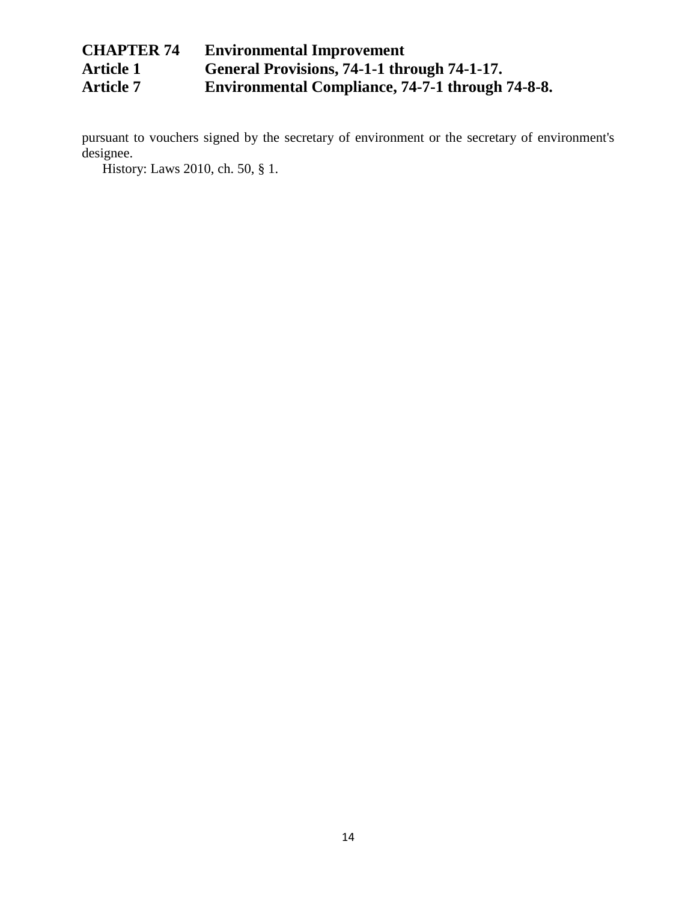# **CHAPTER 74 Environmental Improvement**  Article 1 **[General Provisions, 74-1-1 through 74-1-17.](http://public.nmcompcomm.us/nmpublic/gateway.dll?f=jumplink$jumplink_x=Advanced$jumplink_vpc=first$jumplink_xsl=querylink.xsl$jumplink_sel=title;path;content-type;home-title;item-bookmark$jumplink_d=%7bnmsu%7d$jumplink_q=%5bfield%20folio-destination-name:%27ch.%2074%2C%20art.%201%27%5d$jumplink_md=target-id=0-0-0-72697)**<br>Article 7 **Environmental Compliance, 74-7-1 through Article 7 Environmental Compliance, 74-7-1 through 74-8-8.**

pursuant to vouchers signed by the secretary of environment or the secretary of environment's designee.

History: Laws 2010, ch. 50, § 1.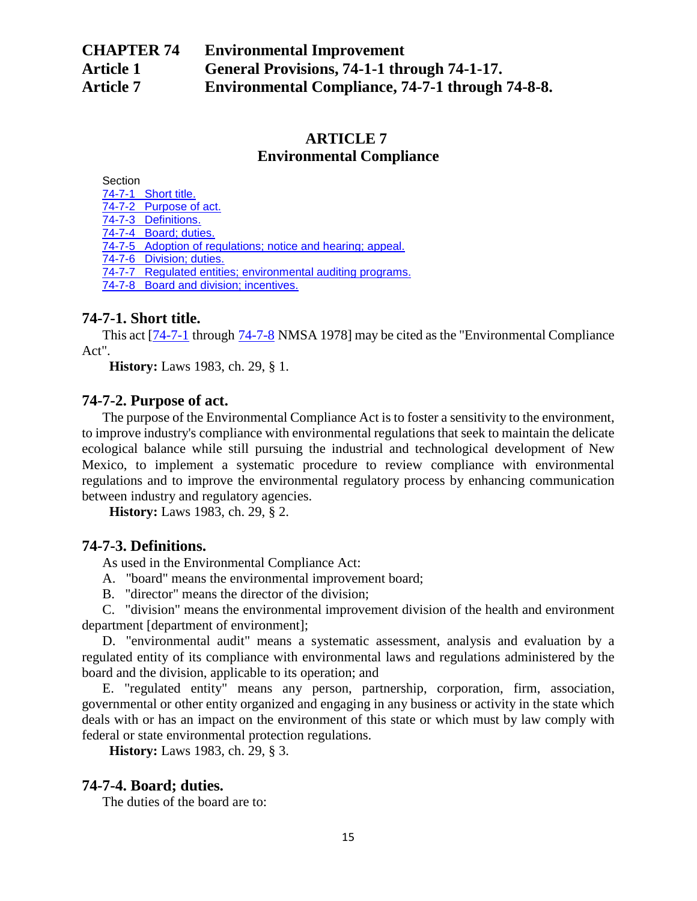## **ARTICLE 7 Environmental Compliance**

**Section** 

[74-7-1 Short title.](http://public.nmcompcomm.us/nmpublic/gateway.dll?f=jumplink$jumplink_x=Advanced$jumplink_vpc=first$jumplink_xsl=querylink.xsl$jumplink_sel=title;path;content-type;home-title;item-bookmark$jumplink_d=%7bnmsu%7d$jumplink_q=%5bfield%20folio-destination-name:%2774-7-1%27%5d$jumplink_md=target-id=0-0-0-24711) [74-7-2 Purpose of act.](http://public.nmcompcomm.us/nmpublic/gateway.dll?f=jumplink$jumplink_x=Advanced$jumplink_vpc=first$jumplink_xsl=querylink.xsl$jumplink_sel=title;path;content-type;home-title;item-bookmark$jumplink_d=%7bnmsu%7d$jumplink_q=%5bfield%20folio-destination-name:%2774-7-2%27%5d$jumplink_md=target-id=0-0-0-122519) [74-7-3 Definitions.](http://public.nmcompcomm.us/nmpublic/gateway.dll?f=jumplink$jumplink_x=Advanced$jumplink_vpc=first$jumplink_xsl=querylink.xsl$jumplink_sel=title;path;content-type;home-title;item-bookmark$jumplink_d=%7bnmsu%7d$jumplink_q=%5bfield%20folio-destination-name:%2774-7-3%27%5d$jumplink_md=target-id=0-0-0-122521) [74-7-4 Board; duties.](http://public.nmcompcomm.us/nmpublic/gateway.dll?f=jumplink$jumplink_x=Advanced$jumplink_vpc=first$jumplink_xsl=querylink.xsl$jumplink_sel=title;path;content-type;home-title;item-bookmark$jumplink_d=%7bnmsu%7d$jumplink_q=%5bfield%20folio-destination-name:%2774-7-4%27%5d$jumplink_md=target-id=0-0-0-122523) [74-7-5 Adoption of regulations; notice and hearing; appeal.](http://public.nmcompcomm.us/nmpublic/gateway.dll?f=jumplink$jumplink_x=Advanced$jumplink_vpc=first$jumplink_xsl=querylink.xsl$jumplink_sel=title;path;content-type;home-title;item-bookmark$jumplink_d=%7bnmsu%7d$jumplink_q=%5bfield%20folio-destination-name:%2774-7-5%27%5d$jumplink_md=target-id=0-0-0-122525) [74-7-6 Division; duties.](http://public.nmcompcomm.us/nmpublic/gateway.dll?f=jumplink$jumplink_x=Advanced$jumplink_vpc=first$jumplink_xsl=querylink.xsl$jumplink_sel=title;path;content-type;home-title;item-bookmark$jumplink_d=%7bnmsu%7d$jumplink_q=%5bfield%20folio-destination-name:%2774-7-6%27%5d$jumplink_md=target-id=0-0-0-122527)

[74-7-7 Regulated entities; environmental auditing programs.](http://public.nmcompcomm.us/nmpublic/gateway.dll?f=jumplink$jumplink_x=Advanced$jumplink_vpc=first$jumplink_xsl=querylink.xsl$jumplink_sel=title;path;content-type;home-title;item-bookmark$jumplink_d=%7bnmsu%7d$jumplink_q=%5bfield%20folio-destination-name:%2774-7-7%27%5d$jumplink_md=target-id=0-0-0-122529)

[74-7-8 Board and division; incentives.](http://public.nmcompcomm.us/nmpublic/gateway.dll?f=jumplink$jumplink_x=Advanced$jumplink_vpc=first$jumplink_xsl=querylink.xsl$jumplink_sel=title;path;content-type;home-title;item-bookmark$jumplink_d=%7bnmsu%7d$jumplink_q=%5bfield%20folio-destination-name:%2774-7-8%27%5d$jumplink_md=target-id=0-0-0-24713)

## **74-7-1. Short title.**

This act [\[74-7-1](http://public.nmcompcomm.us/nmpublic/gateway.dll?f=jumplink$jumplink_x=Advanced$jumplink_vpc=first$jumplink_xsl=querylink.xsl$jumplink_sel=title;path;content-type;home-title;item-bookmark$jumplink_d=%7bnmsu%7d$jumplink_q=%5bfield%20folio-destination-name:%2774-7-1%27%5d$jumplink_md=target-id=0-0-0-24711) through  $74$ -7-8 NMSA 1978] may be cited as the "Environmental Compliance" Act".

**History:** Laws 1983, ch. 29, § 1.

## **74-7-2. Purpose of act.**

The purpose of the Environmental Compliance Act is to foster a sensitivity to the environment, to improve industry's compliance with environmental regulations that seek to maintain the delicate ecological balance while still pursuing the industrial and technological development of New Mexico, to implement a systematic procedure to review compliance with environmental regulations and to improve the environmental regulatory process by enhancing communication between industry and regulatory agencies.

**History:** Laws 1983, ch. 29, § 2.

### **74-7-3. Definitions.**

As used in the Environmental Compliance Act:

A. "board" means the environmental improvement board;

B. "director" means the director of the division;

C. "division" means the environmental improvement division of the health and environment department [department of environment];

D. "environmental audit" means a systematic assessment, analysis and evaluation by a regulated entity of its compliance with environmental laws and regulations administered by the board and the division, applicable to its operation; and

E. "regulated entity" means any person, partnership, corporation, firm, association, governmental or other entity organized and engaging in any business or activity in the state which deals with or has an impact on the environment of this state or which must by law comply with federal or state environmental protection regulations.

**History:** Laws 1983, ch. 29, § 3.

## **74-7-4. Board; duties.**

The duties of the board are to: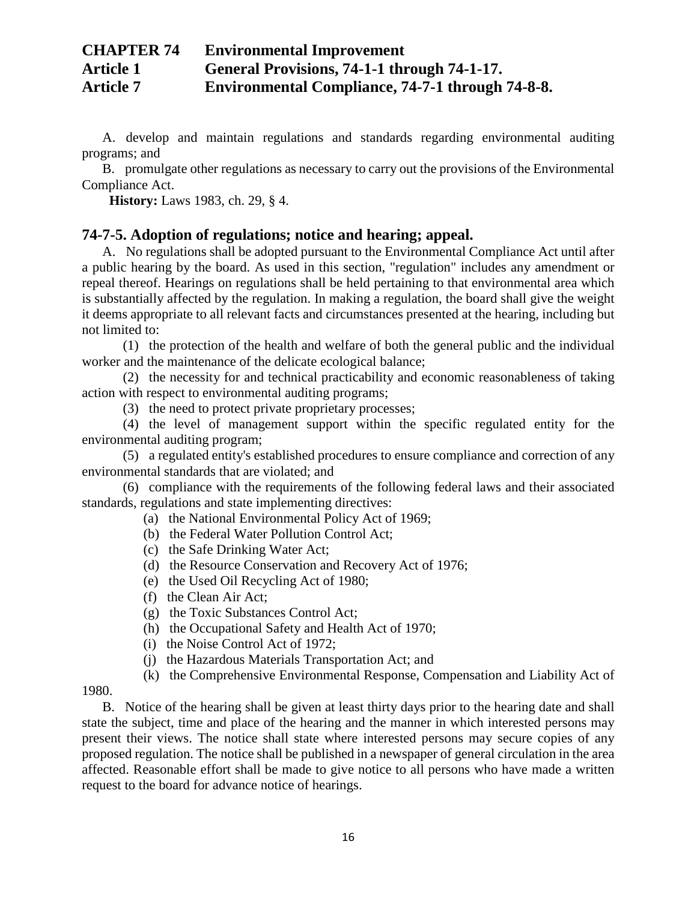A. develop and maintain regulations and standards regarding environmental auditing programs; and

B. promulgate other regulations as necessary to carry out the provisions of the Environmental Compliance Act.

**History:** Laws 1983, ch. 29, § 4.

### **74-7-5. Adoption of regulations; notice and hearing; appeal.**

A. No regulations shall be adopted pursuant to the Environmental Compliance Act until after a public hearing by the board. As used in this section, "regulation" includes any amendment or repeal thereof. Hearings on regulations shall be held pertaining to that environmental area which is substantially affected by the regulation. In making a regulation, the board shall give the weight it deems appropriate to all relevant facts and circumstances presented at the hearing, including but not limited to:

(1) the protection of the health and welfare of both the general public and the individual worker and the maintenance of the delicate ecological balance;

(2) the necessity for and technical practicability and economic reasonableness of taking action with respect to environmental auditing programs;

(3) the need to protect private proprietary processes;

(4) the level of management support within the specific regulated entity for the environmental auditing program;

(5) a regulated entity's established procedures to ensure compliance and correction of any environmental standards that are violated; and

(6) compliance with the requirements of the following federal laws and their associated standards, regulations and state implementing directives:

- (a) the National Environmental Policy Act of 1969;
- (b) the Federal Water Pollution Control Act;
- (c) the Safe Drinking Water Act;
- (d) the Resource Conservation and Recovery Act of 1976;
- (e) the Used Oil Recycling Act of 1980;
- (f) the Clean Air Act;
- (g) the Toxic Substances Control Act;
- (h) the Occupational Safety and Health Act of 1970;
- (i) the Noise Control Act of 1972;
- (j) the Hazardous Materials Transportation Act; and
- (k) the Comprehensive Environmental Response, Compensation and Liability Act of

1980.

B. Notice of the hearing shall be given at least thirty days prior to the hearing date and shall state the subject, time and place of the hearing and the manner in which interested persons may present their views. The notice shall state where interested persons may secure copies of any proposed regulation. The notice shall be published in a newspaper of general circulation in the area affected. Reasonable effort shall be made to give notice to all persons who have made a written request to the board for advance notice of hearings.